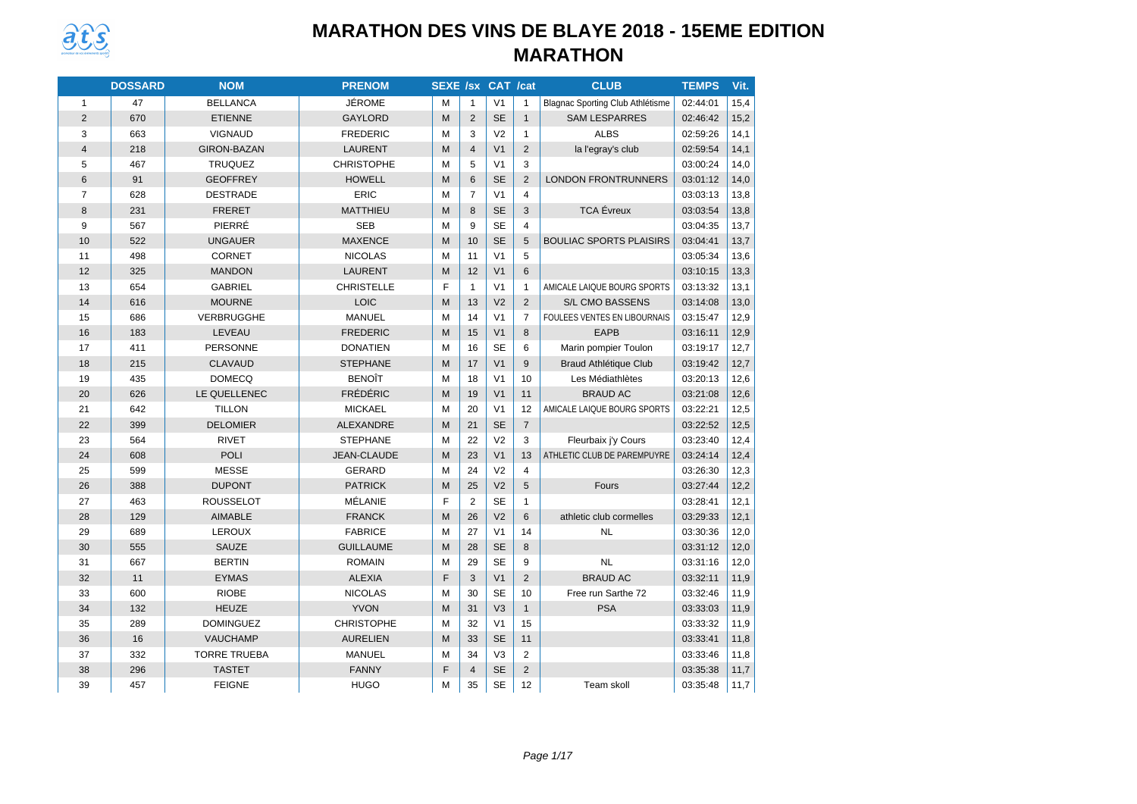

|                         | <b>DOSSARD</b> | <b>NOM</b>          | <b>PRENOM</b>      | <b>SEXE /sx CAT /cat</b> |                |                |                | <b>CLUB</b>                      | <b>TEMPS</b> | Vit. |
|-------------------------|----------------|---------------------|--------------------|--------------------------|----------------|----------------|----------------|----------------------------------|--------------|------|
| $\mathbf{1}$            | 47             | <b>BELLANCA</b>     | JÉROME             | м                        | $\mathbf{1}$   | V <sub>1</sub> | $\mathbf{1}$   | Blagnac Sporting Club Athlétisme | 02:44:01     | 15,4 |
| 2                       | 670            | <b>ETIENNE</b>      | <b>GAYLORD</b>     | M                        | 2              | <b>SE</b>      | $\mathbf{1}$   | <b>SAM LESPARRES</b>             | 02:46:42     | 15,2 |
| 3                       | 663            | <b>VIGNAUD</b>      | <b>FREDERIC</b>    | M                        | 3              | V <sub>2</sub> | $\mathbf{1}$   | <b>ALBS</b>                      | 02:59:26     | 14,1 |
| $\overline{\mathbf{4}}$ | 218            | <b>GIRON-BAZAN</b>  | LAURENT            | M                        | $\overline{4}$ | V <sub>1</sub> | $\overline{2}$ | la l'egray's club                | 02:59:54     | 14,1 |
| 5                       | 467            | <b>TRUQUEZ</b>      | <b>CHRISTOPHE</b>  | M                        | 5              | V <sub>1</sub> | 3              |                                  | 03:00:24     | 14,0 |
| 6                       | 91             | <b>GEOFFREY</b>     | <b>HOWELL</b>      | M                        | 6              | <b>SE</b>      | $\overline{2}$ | <b>LONDON FRONTRUNNERS</b>       | 03:01:12     | 14,0 |
| $\overline{7}$          | 628            | <b>DESTRADE</b>     | <b>ERIC</b>        | M                        | $\overline{7}$ | V <sub>1</sub> | $\overline{4}$ |                                  | 03:03:13     | 13,8 |
| 8                       | 231            | <b>FRERET</b>       | <b>MATTHIEU</b>    | M                        | 8              | <b>SE</b>      | 3              | <b>TCA</b> Évreux                | 03:03:54     | 13,8 |
| 9                       | 567            | PIERRÉ              | <b>SEB</b>         | M                        | 9              | <b>SE</b>      | $\overline{4}$ |                                  | 03:04:35     | 13,7 |
| 10                      | 522            | <b>UNGAUER</b>      | <b>MAXENCE</b>     | M                        | 10             | <b>SE</b>      | 5              | <b>BOULIAC SPORTS PLAISIRS</b>   | 03:04:41     | 13,7 |
| 11                      | 498            | <b>CORNET</b>       | <b>NICOLAS</b>     | M                        | 11             | V <sub>1</sub> | 5              |                                  | 03:05:34     | 13,6 |
| 12                      | 325            | <b>MANDON</b>       | <b>LAURENT</b>     | M                        | 12             | V <sub>1</sub> | 6              |                                  | 03:10:15     | 13,3 |
| 13                      | 654            | <b>GABRIEL</b>      | <b>CHRISTELLE</b>  | F                        | $\mathbf{1}$   | V <sub>1</sub> | $\mathbf{1}$   | AMICALE LAIQUE BOURG SPORTS      | 03:13:32     | 13,1 |
| 14                      | 616            | <b>MOURNE</b>       | LOIC               | M                        | 13             | V <sub>2</sub> | $\overline{2}$ | S/L CMO BASSENS                  | 03:14:08     | 13,0 |
| 15                      | 686            | VERBRUGGHE          | <b>MANUEL</b>      | M                        | 14             | V <sub>1</sub> | $\overline{7}$ | FOULEES VENTES EN LIBOURNAIS     | 03:15:47     | 12,9 |
| 16                      | 183            | LEVEAU              | <b>FREDERIC</b>    | M                        | 15             | V <sub>1</sub> | 8              | <b>EAPB</b>                      | 03:16:11     | 12,9 |
| 17                      | 411            | <b>PERSONNE</b>     | <b>DONATIEN</b>    | M                        | 16             | <b>SE</b>      | 6              | Marin pompier Toulon             | 03:19:17     | 12,7 |
| 18                      | 215            | <b>CLAVAUD</b>      | <b>STEPHANE</b>    | M                        | 17             | V <sub>1</sub> | 9              | <b>Braud Athlétique Club</b>     | 03:19:42     | 12,7 |
| 19                      | 435            | <b>DOMECQ</b>       | <b>BENOIT</b>      | M                        | 18             | V <sub>1</sub> | 10             | Les Médiathlètes                 | 03:20:13     | 12,6 |
| 20                      | 626            | LE QUELLENEC        | <b>FRÉDÉRIC</b>    | M                        | 19             | V <sub>1</sub> | 11             | <b>BRAUD AC</b>                  | 03:21:08     | 12,6 |
| 21                      | 642            | <b>TILLON</b>       | <b>MICKAEL</b>     | M                        | 20             | V <sub>1</sub> | 12             | AMICALE LAIQUE BOURG SPORTS      | 03:22:21     | 12,5 |
| 22                      | 399            | <b>DELOMIER</b>     | <b>ALEXANDRE</b>   | M                        | 21             | <b>SE</b>      | $\overline{7}$ |                                  | 03:22:52     | 12,5 |
| 23                      | 564            | <b>RIVET</b>        | <b>STEPHANE</b>    | M                        | 22             | V <sub>2</sub> | 3              | Fleurbaix j'y Cours              | 03:23:40     | 12,4 |
| 24                      | 608            | <b>POLI</b>         | <b>JEAN-CLAUDE</b> | M                        | 23             | V <sub>1</sub> | 13             | ATHLETIC CLUB DE PAREMPUYRE      | 03:24:14     | 12,4 |
| 25                      | 599            | <b>MESSE</b>        | <b>GERARD</b>      | M                        | 24             | V <sub>2</sub> | $\overline{4}$ |                                  | 03:26:30     | 12,3 |
| 26                      | 388            | <b>DUPONT</b>       | <b>PATRICK</b>     | M                        | 25             | V <sub>2</sub> | 5              | Fours                            | 03:27:44     | 12,2 |
| 27                      | 463            | <b>ROUSSELOT</b>    | MÉLANIE            | F                        | $\overline{2}$ | <b>SE</b>      | $\mathbf{1}$   |                                  | 03:28:41     | 12,1 |
| 28                      | 129            | <b>AIMABLE</b>      | <b>FRANCK</b>      | M                        | 26             | V <sub>2</sub> | 6              | athletic club cormelles          | 03:29:33     | 12,1 |
| 29                      | 689            | LEROUX              | <b>FABRICE</b>     | M                        | 27             | V <sub>1</sub> | 14             | <b>NL</b>                        | 03:30:36     | 12,0 |
| 30                      | 555            | <b>SAUZE</b>        | <b>GUILLAUME</b>   | M                        | 28             | <b>SE</b>      | 8              |                                  | 03:31:12     | 12,0 |
| 31                      | 667            | <b>BERTIN</b>       | <b>ROMAIN</b>      | M                        | 29             | <b>SE</b>      | 9              | <b>NL</b>                        | 03:31:16     | 12,0 |
| 32                      | 11             | <b>EYMAS</b>        | <b>ALEXIA</b>      | F                        | 3              | V <sub>1</sub> | $\overline{2}$ | <b>BRAUD AC</b>                  | 03:32:11     | 11,9 |
| 33                      | 600            | <b>RIOBE</b>        | <b>NICOLAS</b>     | M                        | 30             | <b>SE</b>      | 10             | Free run Sarthe 72               | 03:32:46     | 11,9 |
| 34                      | 132            | <b>HEUZE</b>        | <b>YVON</b>        | M                        | 31             | V <sub>3</sub> | $\mathbf{1}$   | <b>PSA</b>                       | 03:33:03     | 11,9 |
| 35                      | 289            | <b>DOMINGUEZ</b>    | <b>CHRISTOPHE</b>  | M                        | 32             | V <sub>1</sub> | 15             |                                  | 03:33:32     | 11,9 |
| 36                      | 16             | <b>VAUCHAMP</b>     | <b>AURELIEN</b>    | M                        | 33             | <b>SE</b>      | 11             |                                  | 03:33:41     | 11,8 |
| 37                      | 332            | <b>TORRE TRUEBA</b> | <b>MANUEL</b>      | M                        | 34             | V3             | $\overline{2}$ |                                  | 03:33:46     | 11,8 |
| 38                      | 296            | <b>TASTET</b>       | <b>FANNY</b>       | F                        | $\overline{4}$ | <b>SE</b>      | $\overline{2}$ |                                  | 03:35:38     | 11,7 |
| 39                      | 457            | <b>FEIGNE</b>       | <b>HUGO</b>        | M                        | 35             | <b>SE</b>      | 12             | Team skoll                       | 03:35:48     | 11,7 |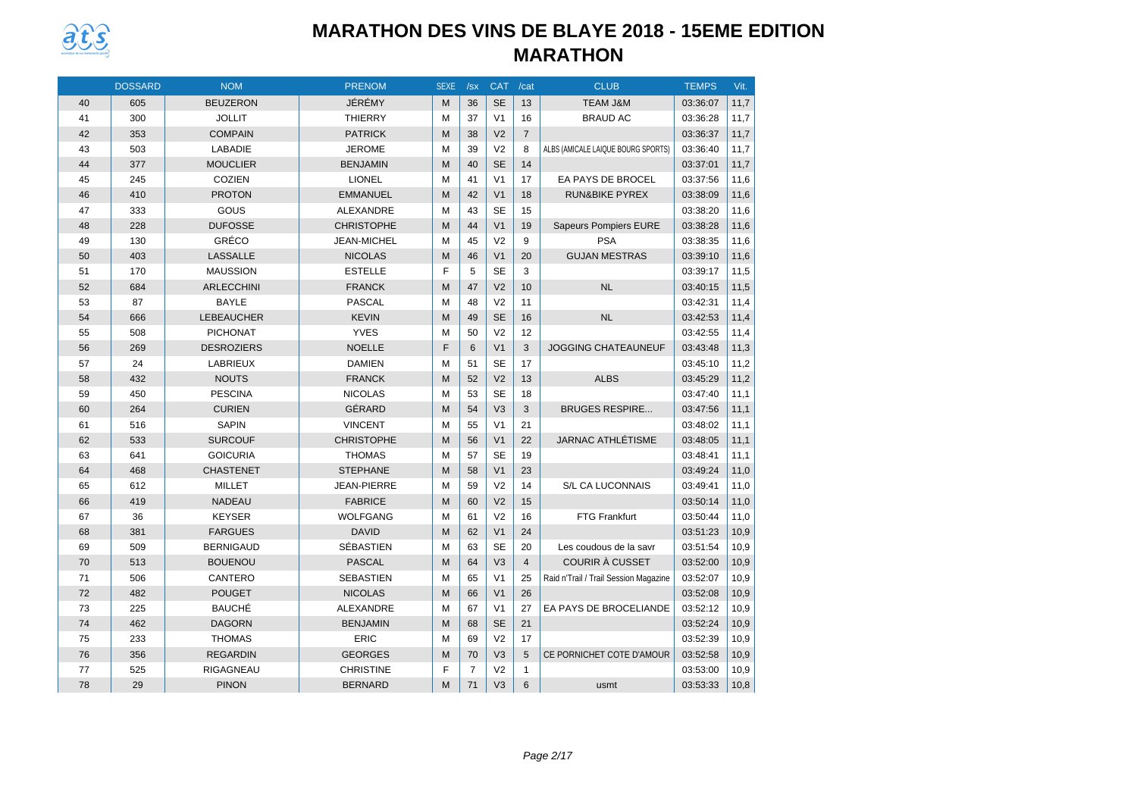

|    | <b>DOSSARD</b> | <b>NOM</b>        | <b>PRENOM</b>      | <b>SEXE</b> | /sx            | <b>CAT</b>     | /cat           | <b>CLUB</b>                           | <b>TEMPS</b> | Vit. |
|----|----------------|-------------------|--------------------|-------------|----------------|----------------|----------------|---------------------------------------|--------------|------|
| 40 | 605            | <b>BEUZERON</b>   | JÉRÉMY             | M           | 36             | <b>SE</b>      | 13             | <b>TEAM J&amp;M</b>                   | 03:36:07     | 11,7 |
| 41 | 300            | <b>JOLLIT</b>     | <b>THIERRY</b>     | M           | 37             | V <sub>1</sub> | 16             | <b>BRAUD AC</b>                       | 03:36:28     | 11,7 |
| 42 | 353            | <b>COMPAIN</b>    | <b>PATRICK</b>     | M           | 38             | V <sub>2</sub> | $\overline{7}$ |                                       | 03:36:37     | 11,7 |
| 43 | 503            | <b>LABADIE</b>    | <b>JEROME</b>      | M           | 39             | V <sub>2</sub> | 8              | ALBS (AMICALE LAIQUE BOURG SPORTS)    | 03:36:40     | 11,7 |
| 44 | 377            | <b>MOUCLIER</b>   | <b>BENJAMIN</b>    | M           | 40             | <b>SE</b>      | 14             |                                       | 03:37:01     | 11,7 |
| 45 | 245            | <b>COZIEN</b>     | <b>LIONEL</b>      | M           | 41             | V <sub>1</sub> | 17             | EA PAYS DE BROCEL                     | 03:37:56     | 11,6 |
| 46 | 410            | <b>PROTON</b>     | <b>EMMANUEL</b>    | M           | 42             | V <sub>1</sub> | 18             | <b>RUN&amp;BIKE PYREX</b>             | 03:38:09     | 11,6 |
| 47 | 333            | GOUS              | <b>ALEXANDRE</b>   | M           | 43             | <b>SE</b>      | 15             |                                       | 03:38:20     | 11,6 |
| 48 | 228            | <b>DUFOSSE</b>    | <b>CHRISTOPHE</b>  | M           | 44             | V <sub>1</sub> | 19             | <b>Sapeurs Pompiers EURE</b>          | 03:38:28     | 11,6 |
| 49 | 130            | GRÉCO             | <b>JEAN-MICHEL</b> | M           | 45             | V <sub>2</sub> | 9              | <b>PSA</b>                            | 03:38:35     | 11,6 |
| 50 | 403            | <b>LASSALLE</b>   | <b>NICOLAS</b>     | M           | 46             | V <sub>1</sub> | 20             | <b>GUJAN MESTRAS</b>                  | 03:39:10     | 11,6 |
| 51 | 170            | <b>MAUSSION</b>   | <b>ESTELLE</b>     | F           | 5              | <b>SE</b>      | 3              |                                       | 03:39:17     | 11,5 |
| 52 | 684            | <b>ARLECCHINI</b> | <b>FRANCK</b>      | M           | 47             | V <sub>2</sub> | 10             | <b>NL</b>                             | 03:40:15     | 11,5 |
| 53 | 87             | <b>BAYLE</b>      | <b>PASCAL</b>      | M           | 48             | V <sub>2</sub> | 11             |                                       | 03:42:31     | 11,4 |
| 54 | 666            | <b>LEBEAUCHER</b> | <b>KEVIN</b>       | M           | 49             | <b>SE</b>      | 16             | <b>NL</b>                             | 03:42:53     | 11,4 |
| 55 | 508            | <b>PICHONAT</b>   | <b>YVES</b>        | M           | 50             | V <sub>2</sub> | 12             |                                       | 03:42:55     | 11,4 |
| 56 | 269            | <b>DESROZIERS</b> | <b>NOELLE</b>      | F           | 6              | V <sub>1</sub> | 3              | <b>JOGGING CHATEAUNEUF</b>            | 03:43:48     | 11,3 |
| 57 | 24             | LABRIEUX          | <b>DAMIEN</b>      | M           | 51             | <b>SE</b>      | 17             |                                       | 03:45:10     | 11,2 |
| 58 | 432            | <b>NOUTS</b>      | <b>FRANCK</b>      | M           | 52             | V <sub>2</sub> | 13             | <b>ALBS</b>                           | 03:45:29     | 11,2 |
| 59 | 450            | <b>PESCINA</b>    | <b>NICOLAS</b>     | M           | 53             | <b>SE</b>      | 18             |                                       | 03:47:40     | 11,1 |
| 60 | 264            | <b>CURIEN</b>     | GÉRARD             | M           | 54             | V <sub>3</sub> | 3              | <b>BRUGES RESPIRE</b>                 | 03:47:56     | 11,1 |
| 61 | 516            | <b>SAPIN</b>      | <b>VINCENT</b>     | M           | 55             | V <sub>1</sub> | 21             |                                       | 03:48:02     | 11,1 |
| 62 | 533            | <b>SURCOUF</b>    | <b>CHRISTOPHE</b>  | M           | 56             | V <sub>1</sub> | 22             | <b>JARNAC ATHLÉTISME</b>              | 03:48:05     | 11,1 |
| 63 | 641            | <b>GOICURIA</b>   | <b>THOMAS</b>      | M           | 57             | <b>SE</b>      | 19             |                                       | 03:48:41     | 11,1 |
| 64 | 468            | <b>CHASTENET</b>  | <b>STEPHANE</b>    | M           | 58             | V <sub>1</sub> | 23             |                                       | 03:49:24     | 11,0 |
| 65 | 612            | <b>MILLET</b>     | <b>JEAN-PIERRE</b> | M           | 59             | V <sub>2</sub> | 14             | S/L CA LUCONNAIS                      | 03:49:41     | 11,0 |
| 66 | 419            | <b>NADEAU</b>     | <b>FABRICE</b>     | M           | 60             | V <sub>2</sub> | 15             |                                       | 03:50:14     | 11,0 |
| 67 | 36             | <b>KEYSER</b>     | <b>WOLFGANG</b>    | M           | 61             | V <sub>2</sub> | 16             | <b>FTG Frankfurt</b>                  | 03:50:44     | 11,0 |
| 68 | 381            | <b>FARGUES</b>    | <b>DAVID</b>       | M           | 62             | V <sub>1</sub> | 24             |                                       | 03:51:23     | 10,9 |
| 69 | 509            | <b>BERNIGAUD</b>  | SÉBASTIEN          | M           | 63             | <b>SE</b>      | 20             | Les coudous de la savr                | 03:51:54     | 10,9 |
| 70 | 513            | <b>BOUENOU</b>    | <b>PASCAL</b>      | M           | 64             | V <sub>3</sub> | $\overline{4}$ | <b>COURIR À CUSSET</b>                | 03:52:00     | 10,9 |
| 71 | 506            | CANTERO           | <b>SEBASTIEN</b>   | M           | 65             | V <sub>1</sub> | 25             | Raid n'Trail / Trail Session Magazine | 03:52:07     | 10,9 |
| 72 | 482            | <b>POUGET</b>     | <b>NICOLAS</b>     | M           | 66             | V <sub>1</sub> | 26             |                                       | 03:52:08     | 10,9 |
| 73 | 225            | <b>BAUCHÉ</b>     | ALEXANDRE          | M           | 67             | V <sub>1</sub> | 27             | EA PAYS DE BROCELIANDE                | 03:52:12     | 10,9 |
| 74 | 462            | <b>DAGORN</b>     | <b>BENJAMIN</b>    | M           | 68             | <b>SE</b>      | 21             |                                       | 03:52:24     | 10,9 |
| 75 | 233            | <b>THOMAS</b>     | <b>ERIC</b>        | M           | 69             | V <sub>2</sub> | 17             |                                       | 03:52:39     | 10,9 |
| 76 | 356            | <b>REGARDIN</b>   | <b>GEORGES</b>     | M           | 70             | V <sub>3</sub> | 5              | CE PORNICHET COTE D'AMOUR             | 03:52:58     | 10,9 |
| 77 | 525            | RIGAGNEAU         | <b>CHRISTINE</b>   | F           | $\overline{7}$ | V <sub>2</sub> | $\mathbf{1}$   |                                       | 03:53:00     | 10,9 |
| 78 | 29             | <b>PINON</b>      | <b>BERNARD</b>     | M           | 71             | V <sub>3</sub> | 6              | usmt                                  | 03:53:33     | 10,8 |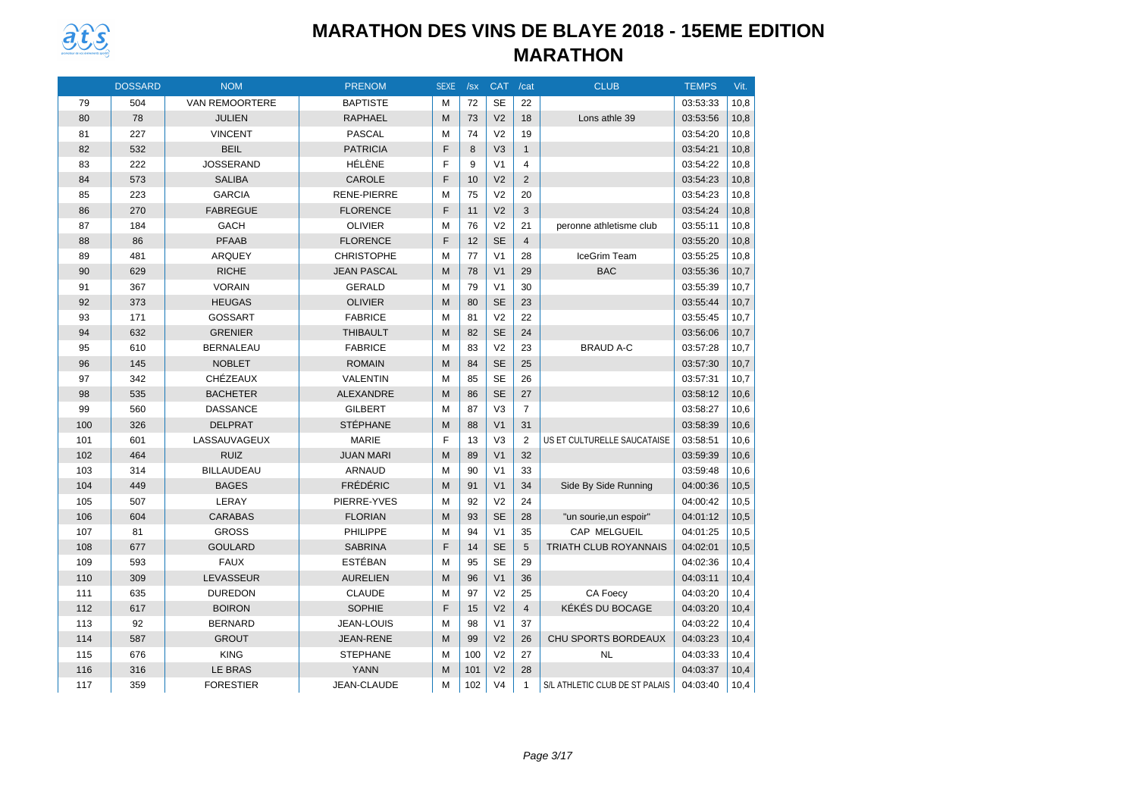

|     | <b>DOSSARD</b> | <b>NOM</b>        | <b>PRENOM</b>      | <b>SEXE</b> | /sx | <b>CAT</b>     | /cat           | <b>CLUB</b>                    | <b>TEMPS</b> | Vit. |
|-----|----------------|-------------------|--------------------|-------------|-----|----------------|----------------|--------------------------------|--------------|------|
| 79  | 504            | VAN REMOORTERE    | <b>BAPTISTE</b>    | M           | 72  | <b>SE</b>      | 22             |                                | 03:53:33     | 10,8 |
| 80  | 78             | <b>JULIEN</b>     | <b>RAPHAEL</b>     | M           | 73  | V <sub>2</sub> | 18             | Lons athle 39                  | 03:53:56     | 10,8 |
| 81  | 227            | <b>VINCENT</b>    | <b>PASCAL</b>      | M           | 74  | V <sub>2</sub> | 19             |                                | 03:54:20     | 10,8 |
| 82  | 532            | <b>BEIL</b>       | <b>PATRICIA</b>    | F           | 8   | V <sub>3</sub> | $\mathbf{1}$   |                                | 03:54:21     | 10,8 |
| 83  | 222            | <b>JOSSERAND</b>  | HÉLÈNE             | F           | 9   | V <sub>1</sub> | 4              |                                | 03:54:22     | 10,8 |
| 84  | 573            | <b>SALIBA</b>     | <b>CAROLE</b>      | F           | 10  | V <sub>2</sub> | 2              |                                | 03:54:23     | 10,8 |
| 85  | 223            | <b>GARCIA</b>     | <b>RENE-PIERRE</b> | M           | 75  | V <sub>2</sub> | 20             |                                | 03:54:23     | 10,8 |
| 86  | 270            | <b>FABREGUE</b>   | <b>FLORENCE</b>    | F           | 11  | V <sub>2</sub> | 3              |                                | 03:54:24     | 10,8 |
| 87  | 184            | GACH              | <b>OLIVIER</b>     | M           | 76  | V <sub>2</sub> | 21             | peronne athletisme club        | 03:55:11     | 10,8 |
| 88  | 86             | <b>PFAAB</b>      | <b>FLORENCE</b>    | F           | 12  | <b>SE</b>      | $\overline{4}$ |                                | 03:55:20     | 10,8 |
| 89  | 481            | <b>ARQUEY</b>     | <b>CHRISTOPHE</b>  | M           | 77  | V <sub>1</sub> | 28             | IceGrim Team                   | 03:55:25     | 10,8 |
| 90  | 629            | <b>RICHE</b>      | <b>JEAN PASCAL</b> | M           | 78  | V <sub>1</sub> | 29             | <b>BAC</b>                     | 03:55:36     | 10,7 |
| 91  | 367            | <b>VORAIN</b>     | <b>GERALD</b>      | M           | 79  | V <sub>1</sub> | 30             |                                | 03:55:39     | 10,7 |
| 92  | 373            | <b>HEUGAS</b>     | <b>OLIVIER</b>     | M           | 80  | <b>SE</b>      | 23             |                                | 03:55:44     | 10,7 |
| 93  | 171            | <b>GOSSART</b>    | <b>FABRICE</b>     | M           | 81  | V <sub>2</sub> | 22             |                                | 03:55:45     | 10,7 |
| 94  | 632            | <b>GRENIER</b>    | <b>THIBAULT</b>    | M           | 82  | <b>SE</b>      | 24             |                                | 03:56:06     | 10,7 |
| 95  | 610            | <b>BERNALEAU</b>  | <b>FABRICE</b>     | M           | 83  | V <sub>2</sub> | 23             | <b>BRAUD A-C</b>               | 03:57:28     | 10,7 |
| 96  | 145            | <b>NOBLET</b>     | <b>ROMAIN</b>      | M           | 84  | <b>SE</b>      | 25             |                                | 03:57:30     | 10,7 |
| 97  | 342            | <b>CHÉZEAUX</b>   | <b>VALENTIN</b>    | M           | 85  | <b>SE</b>      | 26             |                                | 03:57:31     | 10,7 |
| 98  | 535            | <b>BACHETER</b>   | ALEXANDRE          | M           | 86  | <b>SE</b>      | 27             |                                | 03:58:12     | 10,6 |
| 99  | 560            | <b>DASSANCE</b>   | <b>GILBERT</b>     | M           | 87  | V <sub>3</sub> | $\overline{7}$ |                                | 03:58:27     | 10,6 |
| 100 | 326            | <b>DELPRAT</b>    | <b>STÉPHANE</b>    | M           | 88  | V <sub>1</sub> | 31             |                                | 03:58:39     | 10,6 |
| 101 | 601            | LASSAUVAGEUX      | <b>MARIE</b>       | F           | 13  | V <sub>3</sub> | $\overline{2}$ | US ET CULTURELLE SAUCATAISE    | 03:58:51     | 10,6 |
| 102 | 464            | <b>RUIZ</b>       | <b>JUAN MARI</b>   | M           | 89  | V <sub>1</sub> | 32             |                                | 03:59:39     | 10,6 |
| 103 | 314            | <b>BILLAUDEAU</b> | <b>ARNAUD</b>      | M           | 90  | V <sub>1</sub> | 33             |                                | 03:59:48     | 10,6 |
| 104 | 449            | <b>BAGES</b>      | <b>FRÉDÉRIC</b>    | M           | 91  | V <sub>1</sub> | 34             | Side By Side Running           | 04:00:36     | 10,5 |
| 105 | 507            | LERAY             | PIERRE-YVES        | M           | 92  | V <sub>2</sub> | 24             |                                | 04:00:42     | 10,5 |
| 106 | 604            | <b>CARABAS</b>    | <b>FLORIAN</b>     | M           | 93  | <b>SE</b>      | 28             | "un sourie, un espoir"         | 04:01:12     | 10,5 |
| 107 | 81             | <b>GROSS</b>      | PHILIPPE           | M           | 94  | V <sub>1</sub> | 35             | CAP MELGUEIL                   | 04:01:25     | 10,5 |
| 108 | 677            | <b>GOULARD</b>    | <b>SABRINA</b>     | F           | 14  | <b>SE</b>      | 5              | <b>TRIATH CLUB ROYANNAIS</b>   | 04:02:01     | 10,5 |
| 109 | 593            | <b>FAUX</b>       | ESTÉBAN            | M           | 95  | <b>SE</b>      | 29             |                                | 04:02:36     | 10,4 |
| 110 | 309            | LEVASSEUR         | <b>AURELIEN</b>    | M           | 96  | V <sub>1</sub> | 36             |                                | 04:03:11     | 10,4 |
| 111 | 635            | <b>DUREDON</b>    | <b>CLAUDE</b>      | M           | 97  | V <sub>2</sub> | 25             | <b>CA Foecy</b>                | 04:03:20     | 10,4 |
| 112 | 617            | <b>BOIRON</b>     | <b>SOPHIE</b>      | F           | 15  | V <sub>2</sub> | $\overline{4}$ | KÉKÉS DU BOCAGE                | 04:03:20     | 10,4 |
| 113 | 92             | <b>BERNARD</b>    | <b>JEAN-LOUIS</b>  | м           | 98  | V <sub>1</sub> | 37             |                                | 04:03:22     | 10,4 |
| 114 | 587            | <b>GROUT</b>      | <b>JEAN-RENE</b>   | M           | 99  | V <sub>2</sub> | 26             | CHU SPORTS BORDEAUX            | 04:03:23     | 10,4 |
| 115 | 676            | <b>KING</b>       | <b>STEPHANE</b>    | м           | 100 | V <sub>2</sub> | 27             | <b>NL</b>                      | 04:03:33     | 10,4 |
| 116 | 316            | <b>LE BRAS</b>    | <b>YANN</b>        | M           | 101 | V <sub>2</sub> | 28             |                                | 04:03:37     | 10,4 |
| 117 | 359            | <b>FORESTIER</b>  | <b>JEAN-CLAUDE</b> | M           | 102 | V <sub>4</sub> | $\mathbf{1}$   | S/L ATHLETIC CLUB DE ST PALAIS | 04:03:40     | 10,4 |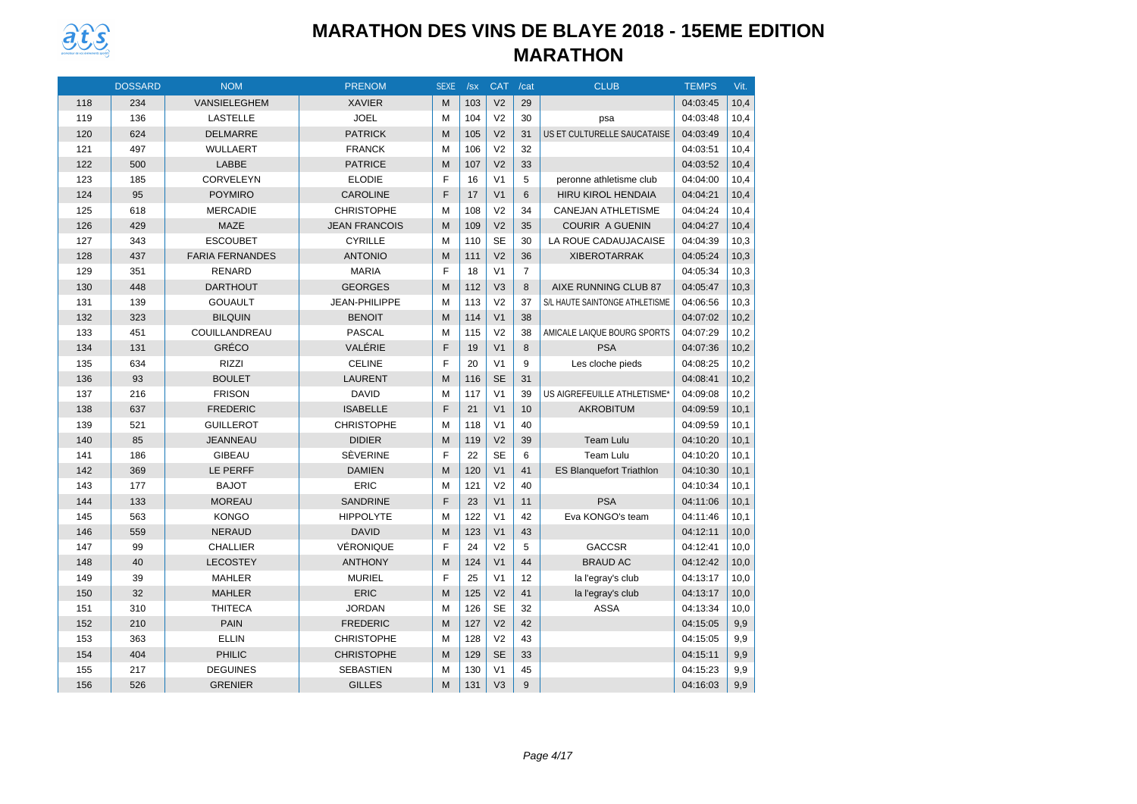

|     | <b>DOSSARD</b> | <b>NOM</b>             | <b>PRENOM</b>        | <b>SEXE</b> | /sx | <b>CAT</b>     | /cat           | <b>CLUB</b>                     | <b>TEMPS</b> | Vit. |
|-----|----------------|------------------------|----------------------|-------------|-----|----------------|----------------|---------------------------------|--------------|------|
| 118 | 234            | VANSIELEGHEM           | <b>XAVIER</b>        | M           | 103 | V <sub>2</sub> | 29             |                                 | 04:03:45     | 10,4 |
| 119 | 136            | <b>LASTELLE</b>        | <b>JOEL</b>          | M           | 104 | V <sub>2</sub> | 30             | psa                             | 04:03:48     | 10,4 |
| 120 | 624            | <b>DELMARRE</b>        | <b>PATRICK</b>       | M           | 105 | V <sub>2</sub> | 31             | US ET CULTURELLE SAUCATAISE     | 04:03:49     | 10,4 |
| 121 | 497            | <b>WULLAERT</b>        | <b>FRANCK</b>        | M           | 106 | V <sub>2</sub> | 32             |                                 | 04:03:51     | 10,4 |
| 122 | 500            | LABBE                  | <b>PATRICE</b>       | M           | 107 | V <sub>2</sub> | 33             |                                 | 04:03:52     | 10,4 |
| 123 | 185            | CORVELEYN              | <b>ELODIE</b>        | F           | 16  | V <sub>1</sub> | 5              | peronne athletisme club         | 04:04:00     | 10,4 |
| 124 | 95             | <b>POYMIRO</b>         | <b>CAROLINE</b>      | F           | 17  | V <sub>1</sub> | 6              | <b>HIRU KIROL HENDAIA</b>       | 04:04:21     | 10,4 |
| 125 | 618            | <b>MERCADIE</b>        | <b>CHRISTOPHE</b>    | M           | 108 | V <sub>2</sub> | 34             | <b>CANEJAN ATHLETISME</b>       | 04:04:24     | 10,4 |
| 126 | 429            | <b>MAZE</b>            | <b>JEAN FRANCOIS</b> | M           | 109 | V <sub>2</sub> | 35             | <b>COURIR A GUENIN</b>          | 04:04:27     | 10,4 |
| 127 | 343            | <b>ESCOUBET</b>        | <b>CYRILLE</b>       | M           | 110 | <b>SE</b>      | 30             | LA ROUE CADAUJACAISE            | 04:04:39     | 10,3 |
| 128 | 437            | <b>FARIA FERNANDES</b> | <b>ANTONIO</b>       | M           | 111 | V <sub>2</sub> | 36             | <b>XIBEROTARRAK</b>             | 04:05:24     | 10,3 |
| 129 | 351            | <b>RENARD</b>          | <b>MARIA</b>         | F           | 18  | V <sub>1</sub> | $\overline{7}$ |                                 | 04:05:34     | 10,3 |
| 130 | 448            | <b>DARTHOUT</b>        | <b>GEORGES</b>       | M           | 112 | V <sub>3</sub> | 8              | AIXE RUNNING CLUB 87            | 04:05:47     | 10,3 |
| 131 | 139            | <b>GOUAULT</b>         | JEAN-PHILIPPE        | M           | 113 | V <sub>2</sub> | 37             | S/L HAUTE SAINTONGE ATHLETISME  | 04:06:56     | 10,3 |
| 132 | 323            | <b>BILQUIN</b>         | <b>BENOIT</b>        | M           | 114 | V <sub>1</sub> | 38             |                                 | 04:07:02     | 10,2 |
| 133 | 451            | COUILLANDREAU          | <b>PASCAL</b>        | M           | 115 | V <sub>2</sub> | 38             | AMICALE LAIQUE BOURG SPORTS     | 04:07:29     | 10,2 |
| 134 | 131            | GRÉCO                  | VALÉRIE              | F           | 19  | V <sub>1</sub> | 8              | <b>PSA</b>                      | 04:07:36     | 10,2 |
| 135 | 634            | <b>RIZZI</b>           | <b>CELINE</b>        | F           | 20  | V <sub>1</sub> | 9              | Les cloche pieds                | 04:08:25     | 10,2 |
| 136 | 93             | <b>BOULET</b>          | <b>LAURENT</b>       | M           | 116 | <b>SE</b>      | 31             |                                 | 04:08:41     | 10,2 |
| 137 | 216            | <b>FRISON</b>          | <b>DAVID</b>         | м           | 117 | V <sub>1</sub> | 39             | US AIGREFEUILLE ATHLETISME®     | 04:09:08     | 10,2 |
| 138 | 637            | <b>FREDERIC</b>        | <b>ISABELLE</b>      | F           | 21  | V <sub>1</sub> | 10             | <b>AKROBITUM</b>                | 04:09:59     | 10,1 |
| 139 | 521            | <b>GUILLEROT</b>       | <b>CHRISTOPHE</b>    | M           | 118 | V <sub>1</sub> | 40             |                                 | 04:09:59     | 10,1 |
| 140 | 85             | <b>JEANNEAU</b>        | <b>DIDIER</b>        | M           | 119 | V <sub>2</sub> | 39             | <b>Team Lulu</b>                | 04:10:20     | 10,1 |
| 141 | 186            | <b>GIBEAU</b>          | SÈVERINE             | F           | 22  | <b>SE</b>      | 6              | Team Lulu                       | 04:10:20     | 10,1 |
| 142 | 369            | LE PERFF               | <b>DAMIEN</b>        | M           | 120 | V <sub>1</sub> | 41             | <b>ES Blanquefort Triathlon</b> | 04:10:30     | 10,1 |
| 143 | 177            | <b>BAJOT</b>           | <b>ERIC</b>          | M           | 121 | V <sub>2</sub> | 40             |                                 | 04:10:34     | 10,1 |
| 144 | 133            | <b>MOREAU</b>          | <b>SANDRINE</b>      | F           | 23  | V <sub>1</sub> | 11             | <b>PSA</b>                      | 04:11:06     | 10,1 |
| 145 | 563            | <b>KONGO</b>           | <b>HIPPOLYTE</b>     | M           | 122 | V <sub>1</sub> | 42             | Eva KONGO's team                | 04:11:46     | 10,1 |
| 146 | 559            | <b>NERAUD</b>          | <b>DAVID</b>         | M           | 123 | V <sub>1</sub> | 43             |                                 | 04:12:11     | 10,0 |
| 147 | 99             | <b>CHALLIER</b>        | VÉRONIQUE            | F           | 24  | V <sub>2</sub> | 5              | <b>GACCSR</b>                   | 04:12:41     | 10,0 |
| 148 | 40             | <b>LECOSTEY</b>        | <b>ANTHONY</b>       | M           | 124 | V <sub>1</sub> | 44             | <b>BRAUD AC</b>                 | 04:12:42     | 10,0 |
| 149 | 39             | <b>MAHLER</b>          | <b>MURIEL</b>        | F           | 25  | V <sub>1</sub> | 12             | la l'egray's club               | 04:13:17     | 10,0 |
| 150 | 32             | <b>MAHLER</b>          | <b>ERIC</b>          | M           | 125 | V <sub>2</sub> | 41             | la l'egray's club               | 04:13:17     | 10,0 |
| 151 | 310            | <b>THITECA</b>         | <b>JORDAN</b>        | M           | 126 | <b>SE</b>      | 32             | <b>ASSA</b>                     | 04:13:34     | 10,0 |
| 152 | 210            | <b>PAIN</b>            | <b>FREDERIC</b>      | M           | 127 | V <sub>2</sub> | 42             |                                 | 04:15:05     | 9,9  |
| 153 | 363            | <b>ELLIN</b>           | <b>CHRISTOPHE</b>    | M           | 128 | V <sub>2</sub> | 43             |                                 | 04:15:05     | 9,9  |
| 154 | 404            | PHILIC                 | <b>CHRISTOPHE</b>    | M           | 129 | <b>SE</b>      | 33             |                                 | 04:15:11     | 9,9  |
| 155 | 217            | <b>DEGUINES</b>        | <b>SEBASTIEN</b>     | M           | 130 | V <sub>1</sub> | 45             |                                 | 04:15:23     | 9,9  |
| 156 | 526            | <b>GRENIER</b>         | <b>GILLES</b>        | M           | 131 | V <sub>3</sub> | 9              |                                 | 04:16:03     | 9,9  |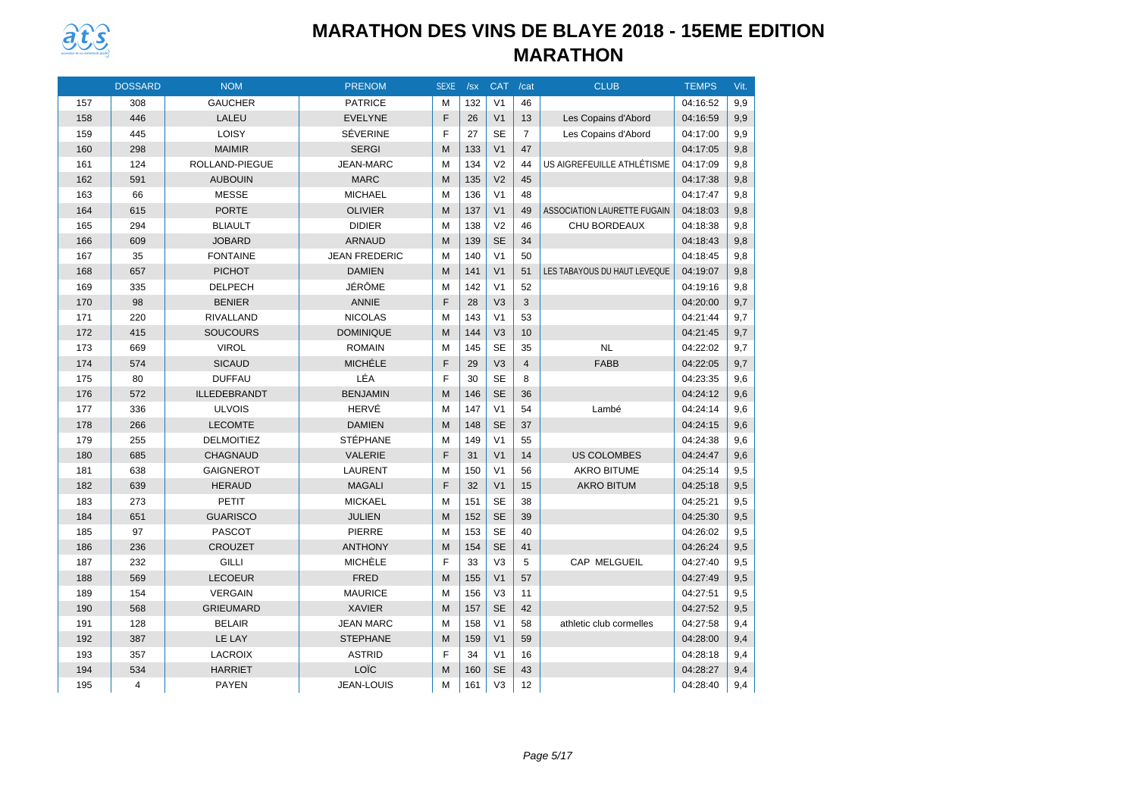

|     | <b>DOSSARD</b> | <b>NOM</b>        | <b>PRENOM</b>        | <b>SEXE</b> | /sx | <b>CAT</b>     | /cat           | <b>CLUB</b>                        | <b>TEMPS</b> | Vit. |
|-----|----------------|-------------------|----------------------|-------------|-----|----------------|----------------|------------------------------------|--------------|------|
| 157 | 308            | <b>GAUCHER</b>    | <b>PATRICE</b>       | M           | 132 | V <sub>1</sub> | 46             |                                    | 04:16:52     | 9,9  |
| 158 | 446            | LALEU             | <b>EVELYNE</b>       | F           | 26  | V <sub>1</sub> | 13             | Les Copains d'Abord                | 04:16:59     | 9,9  |
| 159 | 445            | LOISY             | <b>SÉVERINE</b>      | F           | 27  | <b>SE</b>      | $\overline{7}$ | Les Copains d'Abord                | 04:17:00     | 9,9  |
| 160 | 298            | <b>MAIMIR</b>     | <b>SERGI</b>         | M           | 133 | V <sub>1</sub> | 47             |                                    | 04:17:05     | 9,8  |
| 161 | 124            | ROLLAND-PIEGUE    | <b>JEAN-MARC</b>     | M           | 134 | V <sub>2</sub> | 44             | US AIGREFEUILLE ATHLÉTISME         | 04:17:09     | 9,8  |
| 162 | 591            | <b>AUBOUIN</b>    | <b>MARC</b>          | M           | 135 | V <sub>2</sub> | 45             |                                    | 04:17:38     | 9,8  |
| 163 | 66             | <b>MESSE</b>      | <b>MICHAEL</b>       | M           | 136 | V <sub>1</sub> | 48             |                                    | 04:17:47     | 9,8  |
| 164 | 615            | <b>PORTE</b>      | <b>OLIVIER</b>       | M           | 137 | V <sub>1</sub> | 49             | <b>ASSOCIATION LAURETTE FUGAIN</b> | 04:18:03     | 9,8  |
| 165 | 294            | <b>BLIAULT</b>    | <b>DIDIER</b>        | M           | 138 | V <sub>2</sub> | 46             | CHU BORDEAUX                       | 04:18:38     | 9,8  |
| 166 | 609            | <b>JOBARD</b>     | <b>ARNAUD</b>        | M           | 139 | <b>SE</b>      | 34             |                                    | 04:18:43     | 9,8  |
| 167 | 35             | <b>FONTAINE</b>   | <b>JEAN FREDERIC</b> | M           | 140 | V <sub>1</sub> | 50             |                                    | 04:18:45     | 9,8  |
| 168 | 657            | <b>PICHOT</b>     | <b>DAMIEN</b>        | M           | 141 | V <sub>1</sub> | 51             | LES TABAYOUS DU HAUT LEVEQUE       | 04:19:07     | 9,8  |
| 169 | 335            | <b>DELPECH</b>    | JÉRÔME               | M           | 142 | V <sub>1</sub> | 52             |                                    | 04:19:16     | 9,8  |
| 170 | 98             | <b>BENIER</b>     | <b>ANNIE</b>         | F           | 28  | V <sub>3</sub> | 3              |                                    | 04:20:00     | 9.7  |
| 171 | 220            | RIVALLAND         | <b>NICOLAS</b>       | M           | 143 | V <sub>1</sub> | 53             |                                    | 04:21:44     | 9,7  |
| 172 | 415            | <b>SOUCOURS</b>   | <b>DOMINIQUE</b>     | M           | 144 | V <sub>3</sub> | 10             |                                    | 04:21:45     | 9,7  |
| 173 | 669            | <b>VIROL</b>      | <b>ROMAIN</b>        | M           | 145 | <b>SE</b>      | 35             | NL                                 | 04:22:02     | 9,7  |
| 174 | 574            | <b>SICAUD</b>     | <b>MICHÉLE</b>       | F           | 29  | V <sub>3</sub> | $\overline{4}$ | <b>FABB</b>                        | 04:22:05     | 9,7  |
| 175 | 80             | <b>DUFFAU</b>     | LÉA                  | F           | 30  | <b>SE</b>      | 8              |                                    | 04:23:35     | 9,6  |
| 176 | 572            | ILLEDEBRANDT      | <b>BENJAMIN</b>      | M           | 146 | <b>SE</b>      | 36             |                                    | 04:24:12     | 9,6  |
| 177 | 336            | <b>ULVOIS</b>     | HERVÉ                | M           | 147 | V <sub>1</sub> | 54             | Lambé                              | 04:24:14     | 9.6  |
| 178 | 266            | <b>LECOMTE</b>    | <b>DAMIEN</b>        | M           | 148 | <b>SE</b>      | 37             |                                    | 04:24:15     | 9,6  |
| 179 | 255            | <b>DELMOITIEZ</b> | <b>STÉPHANE</b>      | M           | 149 | V <sub>1</sub> | 55             |                                    | 04:24:38     | 9,6  |
| 180 | 685            | <b>CHAGNAUD</b>   | VALERIE              | F           | 31  | V <sub>1</sub> | 14             | <b>US COLOMBES</b>                 | 04:24:47     | 9,6  |
| 181 | 638            | <b>GAIGNEROT</b>  | <b>LAURENT</b>       | M           | 150 | V <sub>1</sub> | 56             | <b>AKRO BITUME</b>                 | 04:25:14     | 9,5  |
| 182 | 639            | <b>HERAUD</b>     | <b>MAGALI</b>        | E           | 32  | V <sub>1</sub> | 15             | <b>AKRO BITUM</b>                  | 04:25:18     | 9,5  |
| 183 | 273            | PETIT             | <b>MICKAEL</b>       | M           | 151 | <b>SE</b>      | 38             |                                    | 04:25:21     | 9,5  |
| 184 | 651            | <b>GUARISCO</b>   | <b>JULIEN</b>        | M           | 152 | <b>SE</b>      | 39             |                                    | 04:25:30     | 9,5  |
| 185 | 97             | <b>PASCOT</b>     | PIERRE               | M           | 153 | <b>SE</b>      | 40             |                                    | 04:26:02     | 9,5  |
| 186 | 236            | <b>CROUZET</b>    | <b>ANTHONY</b>       | M           | 154 | <b>SE</b>      | 41             |                                    | 04:26:24     | 9,5  |
| 187 | 232            | <b>GILLI</b>      | <b>MICHÈLE</b>       | F           | 33  | V <sub>3</sub> | 5              | <b>CAP MELGUEIL</b>                | 04:27:40     | 9,5  |
| 188 | 569            | <b>LECOEUR</b>    | <b>FRED</b>          | M           | 155 | V <sub>1</sub> | 57             |                                    | 04:27:49     | 9,5  |
| 189 | 154            | <b>VERGAIN</b>    | <b>MAURICE</b>       | M           | 156 | V <sub>3</sub> | 11             |                                    | 04:27:51     | 9,5  |
| 190 | 568            | <b>GRIEUMARD</b>  | <b>XAVIER</b>        | M           | 157 | <b>SE</b>      | 42             |                                    | 04:27:52     | 9,5  |
| 191 | 128            | <b>BELAIR</b>     | <b>JEAN MARC</b>     | M           | 158 | V <sub>1</sub> | 58             | athletic club cormelles            | 04:27:58     | 9,4  |
| 192 | 387            | LE LAY            | <b>STEPHANE</b>      | M           | 159 | V <sub>1</sub> | 59             |                                    | 04:28:00     | 9,4  |
| 193 | 357            | <b>LACROIX</b>    | <b>ASTRID</b>        | F           | 34  | V <sub>1</sub> | 16             |                                    | 04:28:18     | 9,4  |
| 194 | 534            | <b>HARRIET</b>    | LOÏC                 | M           | 160 | <b>SE</b>      | 43             |                                    | 04:28:27     | 9,4  |
| 195 | 4              | <b>PAYEN</b>      | <b>JEAN-LOUIS</b>    | M           | 161 | V <sub>3</sub> | 12             |                                    | 04:28:40     | 9,4  |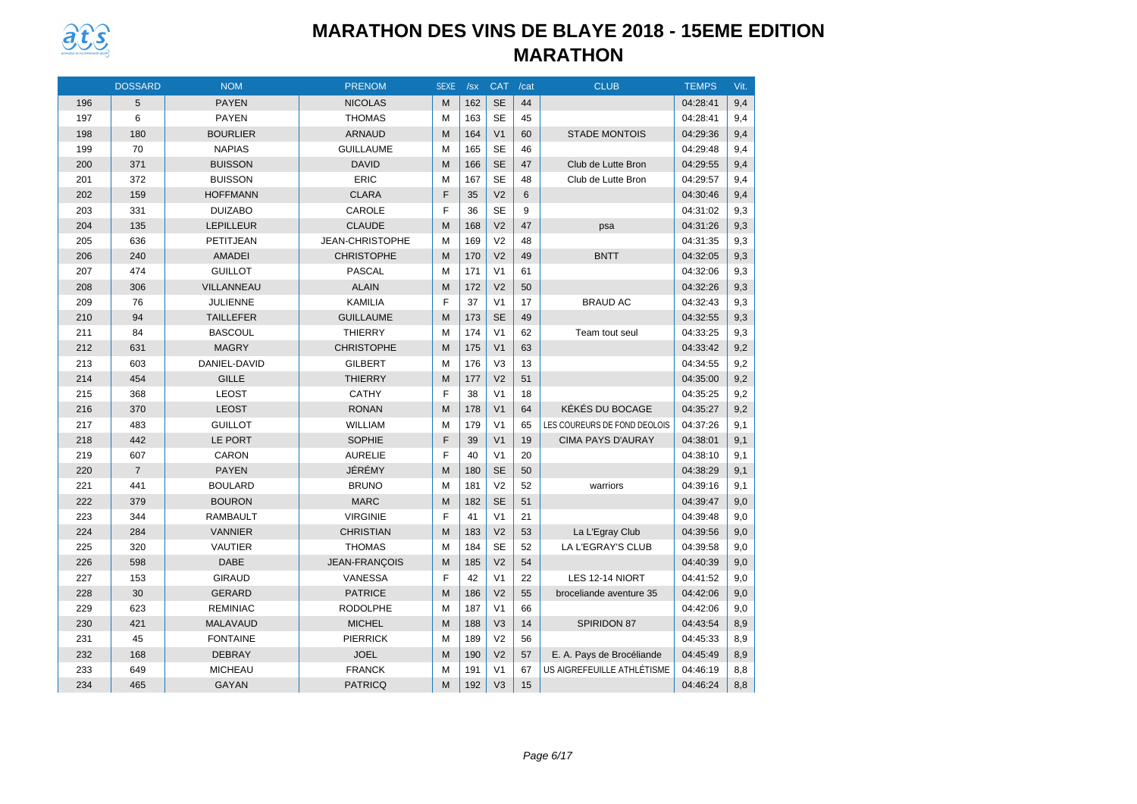

|     | <b>DOSSARD</b> | <b>NOM</b>       | <b>PRENOM</b>        | <b>SEXE</b> | /sx | <b>CAT</b>     | /cat | <b>CLUB</b>                  | <b>TEMPS</b> | Vit. |
|-----|----------------|------------------|----------------------|-------------|-----|----------------|------|------------------------------|--------------|------|
| 196 | 5              | <b>PAYEN</b>     | <b>NICOLAS</b>       | M           | 162 | <b>SE</b>      | 44   |                              | 04:28:41     | 9,4  |
| 197 | 6              | <b>PAYEN</b>     | <b>THOMAS</b>        | M           | 163 | <b>SE</b>      | 45   |                              | 04:28:41     | 9,4  |
| 198 | 180            | <b>BOURLIER</b>  | <b>ARNAUD</b>        | M           | 164 | V <sub>1</sub> | 60   | <b>STADE MONTOIS</b>         | 04:29:36     | 9,4  |
| 199 | 70             | <b>NAPIAS</b>    | <b>GUILLAUME</b>     | M           | 165 | <b>SE</b>      | 46   |                              | 04:29:48     | 9,4  |
| 200 | 371            | <b>BUISSON</b>   | <b>DAVID</b>         | M           | 166 | <b>SE</b>      | 47   | Club de Lutte Bron           | 04:29:55     | 9,4  |
| 201 | 372            | <b>BUISSON</b>   | <b>ERIC</b>          | M           | 167 | <b>SE</b>      | 48   | Club de Lutte Bron           | 04:29:57     | 9.4  |
| 202 | 159            | <b>HOFFMANN</b>  | <b>CLARA</b>         | F           | 35  | V <sub>2</sub> | 6    |                              | 04:30:46     | 9,4  |
| 203 | 331            | <b>DUIZABO</b>   | CAROLE               | F           | 36  | <b>SE</b>      | 9    |                              | 04:31:02     | 9,3  |
| 204 | 135            | <b>LEPILLEUR</b> | <b>CLAUDE</b>        | M           | 168 | V <sub>2</sub> | 47   | psa                          | 04:31:26     | 9,3  |
| 205 | 636            | PETITJEAN        | JEAN-CHRISTOPHE      | M           | 169 | V <sub>2</sub> | 48   |                              | 04:31:35     | 9,3  |
| 206 | 240            | <b>AMADEI</b>    | <b>CHRISTOPHE</b>    | M           | 170 | V <sub>2</sub> | 49   | <b>BNTT</b>                  | 04:32:05     | 9,3  |
| 207 | 474            | <b>GUILLOT</b>   | <b>PASCAL</b>        | м           | 171 | V <sub>1</sub> | 61   |                              | 04:32:06     | 9,3  |
| 208 | 306            | VILLANNEAU       | <b>ALAIN</b>         | M           | 172 | V <sub>2</sub> | 50   |                              | 04:32:26     | 9,3  |
| 209 | 76             | <b>JULIENNE</b>  | <b>KAMILIA</b>       | F           | 37  | V <sub>1</sub> | 17   | <b>BRAUD AC</b>              | 04:32:43     | 9,3  |
| 210 | 94             | <b>TAILLEFER</b> | <b>GUILLAUME</b>     | M           | 173 | <b>SE</b>      | 49   |                              | 04:32:55     | 9,3  |
| 211 | 84             | <b>BASCOUL</b>   | <b>THIERRY</b>       | M           | 174 | V <sub>1</sub> | 62   | Team tout seul               | 04:33:25     | 9,3  |
| 212 | 631            | <b>MAGRY</b>     | <b>CHRISTOPHE</b>    | M           | 175 | V <sub>1</sub> | 63   |                              | 04:33:42     | 9,2  |
| 213 | 603            | DANIEL-DAVID     | <b>GILBERT</b>       | M           | 176 | V <sub>3</sub> | 13   |                              | 04:34:55     | 9,2  |
| 214 | 454            | <b>GILLE</b>     | <b>THIERRY</b>       | M           | 177 | V <sub>2</sub> | 51   |                              | 04:35:00     | 9,2  |
| 215 | 368            | <b>LEOST</b>     | <b>CATHY</b>         | F           | 38  | V <sub>1</sub> | 18   |                              | 04:35:25     | 9,2  |
| 216 | 370            | <b>LEOST</b>     | <b>RONAN</b>         | M           | 178 | V <sub>1</sub> | 64   | KÉKÉS DU BOCAGE              | 04:35:27     | 9,2  |
| 217 | 483            | <b>GUILLOT</b>   | <b>WILLIAM</b>       | M           | 179 | V <sub>1</sub> | 65   | LES COUREURS DE FOND DEOLOIS | 04:37:26     | 9,1  |
| 218 | 442            | LE PORT          | <b>SOPHIE</b>        | F           | 39  | V <sub>1</sub> | 19   | <b>CIMA PAYS D'AURAY</b>     | 04:38:01     | 9,1  |
| 219 | 607            | CARON            | <b>AURELIE</b>       | F           | 40  | V <sub>1</sub> | 20   |                              | 04:38:10     | 9,1  |
| 220 | $\overline{7}$ | <b>PAYEN</b>     | JÉRÉMY               | M           | 180 | <b>SE</b>      | 50   |                              | 04:38:29     | 9,1  |
| 221 | 441            | <b>BOULARD</b>   | <b>BRUNO</b>         | M           | 181 | V <sub>2</sub> | 52   | warriors                     | 04:39:16     | 9,1  |
| 222 | 379            | <b>BOURON</b>    | <b>MARC</b>          | M           | 182 | <b>SE</b>      | 51   |                              | 04:39:47     | 9,0  |
| 223 | 344            | <b>RAMBAULT</b>  | <b>VIRGINIE</b>      | F           | 41  | V <sub>1</sub> | 21   |                              | 04:39:48     | 9,0  |
| 224 | 284            | <b>VANNIER</b>   | <b>CHRISTIAN</b>     | M           | 183 | V <sub>2</sub> | 53   | La L'Egray Club              | 04:39:56     | 9,0  |
| 225 | 320            | <b>VAUTIER</b>   | <b>THOMAS</b>        | M           | 184 | <b>SE</b>      | 52   | LA L'EGRAY'S CLUB            | 04:39:58     | 9,0  |
| 226 | 598            | <b>DABE</b>      | <b>JEAN-FRANÇOIS</b> | M           | 185 | V <sub>2</sub> | 54   |                              | 04:40:39     | 9,0  |
| 227 | 153            | <b>GIRAUD</b>    | <b>VANESSA</b>       | F           | 42  | V <sub>1</sub> | 22   | LES 12-14 NIORT              | 04:41:52     | 9,0  |
| 228 | 30             | <b>GERARD</b>    | <b>PATRICE</b>       | M           | 186 | V <sub>2</sub> | 55   | broceliande aventure 35      | 04:42:06     | 9,0  |
| 229 | 623            | <b>REMINIAC</b>  | <b>RODOLPHE</b>      | M           | 187 | V <sub>1</sub> | 66   |                              | 04:42:06     | 9,0  |
| 230 | 421            | <b>MALAVAUD</b>  | <b>MICHEL</b>        | M           | 188 | V <sub>3</sub> | 14   | SPIRIDON 87                  | 04:43:54     | 8,9  |
| 231 | 45             | <b>FONTAINE</b>  | <b>PIERRICK</b>      | M           | 189 | V <sub>2</sub> | 56   |                              | 04:45:33     | 8,9  |
| 232 | 168            | <b>DEBRAY</b>    | <b>JOEL</b>          | M           | 190 | V <sub>2</sub> | 57   | E. A. Pays de Brocéliande    | 04:45:49     | 8,9  |
| 233 | 649            | <b>MICHEAU</b>   | <b>FRANCK</b>        | М           | 191 | V <sub>1</sub> | 67   | US AIGREFEUILLE ATHLÉTISME   | 04:46:19     | 8,8  |
| 234 | 465            | <b>GAYAN</b>     | <b>PATRICQ</b>       | M           | 192 | V <sub>3</sub> | 15   |                              | 04:46:24     | 8,8  |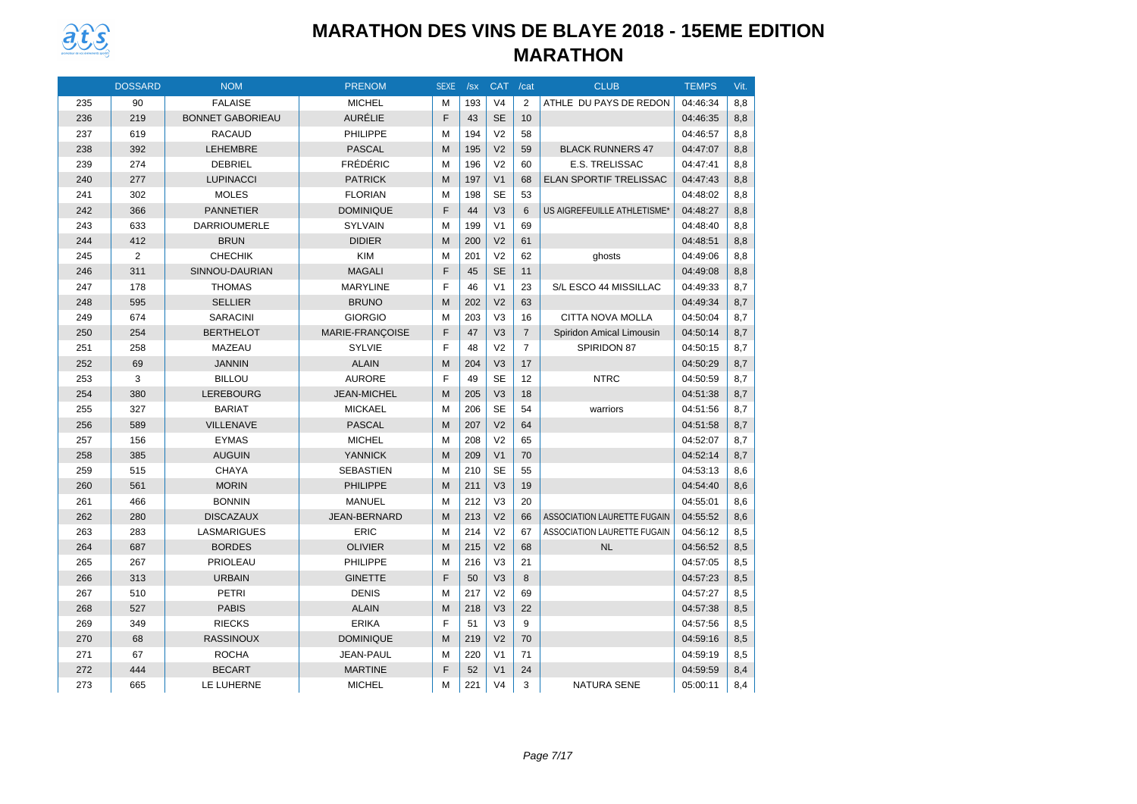

|     | <b>DOSSARD</b> | <b>NOM</b>              | <b>PRENOM</b>    | <b>SEXE</b> | /sx | CAT /cat       |                | <b>CLUB</b>                        | <b>TEMPS</b> | Vit. |
|-----|----------------|-------------------------|------------------|-------------|-----|----------------|----------------|------------------------------------|--------------|------|
| 235 | 90             | <b>FALAISE</b>          | <b>MICHEL</b>    | м           | 193 | V <sub>4</sub> | $\overline{2}$ | ATHLE DU PAYS DE REDON             | 04:46:34     | 8,8  |
| 236 | 219            | <b>BONNET GABORIEAU</b> | <b>AURÉLIE</b>   | F           | 43  | <b>SE</b>      | 10             |                                    | 04:46:35     | 8,8  |
| 237 | 619            | <b>RACAUD</b>           | <b>PHILIPPE</b>  | M           | 194 | V <sub>2</sub> | 58             |                                    | 04:46:57     | 8,8  |
| 238 | 392            | <b>LEHEMBRE</b>         | <b>PASCAL</b>    | M           | 195 | V <sub>2</sub> | 59             | <b>BLACK RUNNERS 47</b>            | 04:47:07     | 8.8  |
| 239 | 274            | <b>DEBRIEL</b>          | <b>FRÉDÉRIC</b>  | M           | 196 | V <sub>2</sub> | 60             | E.S. TRELISSAC                     | 04:47:41     | 8,8  |
| 240 | 277            | <b>LUPINACCI</b>        | <b>PATRICK</b>   | M           | 197 | V <sub>1</sub> | 68             | <b>ELAN SPORTIF TRELISSAC</b>      | 04:47:43     | 8,8  |
| 241 | 302            | <b>MOLES</b>            | <b>FLORIAN</b>   | M           | 198 | <b>SE</b>      | 53             |                                    | 04:48:02     | 8,8  |
| 242 | 366            | <b>PANNETIER</b>        | <b>DOMINIQUE</b> | F           | 44  | V <sub>3</sub> | 6              | US AIGREFEUILLE ATHLETISME*        | 04:48:27     | 8,8  |
| 243 | 633            | <b>DARRIOUMERLE</b>     | <b>SYLVAIN</b>   | м           | 199 | V <sub>1</sub> | 69             |                                    | 04:48:40     | 8,8  |
| 244 | 412            | <b>BRUN</b>             | <b>DIDIER</b>    | M           | 200 | V <sub>2</sub> | 61             |                                    | 04:48:51     | 8,8  |
| 245 | 2              | <b>CHECHIK</b>          | <b>KIM</b>       | M           | 201 | V <sub>2</sub> | 62             | ghosts                             | 04:49:06     | 8.8  |
| 246 | 311            | SINNOU-DAURIAN          | <b>MAGALI</b>    | F           | 45  | <b>SE</b>      | 11             |                                    | 04:49:08     | 8,8  |
| 247 | 178            | <b>THOMAS</b>           | <b>MARYLINE</b>  | F           | 46  | V <sub>1</sub> | 23             | S/L ESCO 44 MISSILLAC              | 04:49:33     | 8,7  |
| 248 | 595            | <b>SELLIER</b>          | <b>BRUNO</b>     | M           | 202 | V <sub>2</sub> | 63             |                                    | 04:49:34     | 8,7  |
| 249 | 674            | <b>SARACINI</b>         | <b>GIORGIO</b>   | M           | 203 | V <sub>3</sub> | 16             | CITTA NOVA MOLLA                   | 04:50:04     | 8,7  |
| 250 | 254            | <b>BERTHELOT</b>        | MARIE-FRANÇOISE  | F           | 47  | V <sub>3</sub> | $\overline{7}$ | Spiridon Amical Limousin           | 04:50:14     | 8,7  |
| 251 | 258            | MAZEAU                  | <b>SYLVIE</b>    | F           | 48  | V <sub>2</sub> | $\overline{7}$ | SPIRIDON 87                        | 04:50:15     | 8,7  |
| 252 | 69             | <b>JANNIN</b>           | <b>ALAIN</b>     | M           | 204 | V <sub>3</sub> | 17             |                                    | 04:50:29     | 8,7  |
| 253 | 3              | <b>BILLOU</b>           | <b>AURORE</b>    | F           | 49  | <b>SE</b>      | 12             | <b>NTRC</b>                        | 04:50:59     | 8.7  |
| 254 | 380            | <b>LEREBOURG</b>        | JEAN-MICHEL      | M           | 205 | V <sub>3</sub> | 18             |                                    | 04:51:38     | 8,7  |
| 255 | 327            | <b>BARIAT</b>           | <b>MICKAEL</b>   | M           | 206 | <b>SE</b>      | 54             | warriors                           | 04:51:56     | 8,7  |
| 256 | 589            | <b>VILLENAVE</b>        | <b>PASCAL</b>    | M           | 207 | V <sub>2</sub> | 64             |                                    | 04:51:58     | 8,7  |
| 257 | 156            | <b>EYMAS</b>            | <b>MICHEL</b>    | M           | 208 | V <sub>2</sub> | 65             |                                    | 04:52:07     | 8,7  |
| 258 | 385            | <b>AUGUIN</b>           | <b>YANNICK</b>   | M           | 209 | V <sub>1</sub> | 70             |                                    | 04:52:14     | 8.7  |
| 259 | 515            | <b>CHAYA</b>            | <b>SEBASTIEN</b> | M           | 210 | <b>SE</b>      | 55             |                                    | 04:53:13     | 8,6  |
| 260 | 561            | <b>MORIN</b>            | <b>PHILIPPE</b>  | M           | 211 | V <sub>3</sub> | 19             |                                    | 04:54:40     | 8,6  |
| 261 | 466            | <b>BONNIN</b>           | <b>MANUEL</b>    | M           | 212 | V <sub>3</sub> | 20             |                                    | 04:55:01     | 8,6  |
| 262 | 280            | <b>DISCAZAUX</b>        | JEAN-BERNARD     | M           | 213 | V <sub>2</sub> | 66             | <b>ASSOCIATION LAURETTE FUGAIN</b> | 04:55:52     | 8,6  |
| 263 | 283            | LASMARIGUES             | <b>ERIC</b>      | M           | 214 | V <sub>2</sub> | 67             | <b>ASSOCIATION LAURETTE FUGAIN</b> | 04:56:12     | 8,5  |
| 264 | 687            | <b>BORDES</b>           | <b>OLIVIER</b>   | M           | 215 | V <sub>2</sub> | 68             | <b>NL</b>                          | 04:56:52     | 8,5  |
| 265 | 267            | <b>PRIOLEAU</b>         | <b>PHILIPPE</b>  | M           | 216 | V <sub>3</sub> | 21             |                                    | 04:57:05     | 8,5  |
| 266 | 313            | <b>URBAIN</b>           | <b>GINETTE</b>   | F           | 50  | V <sub>3</sub> | 8              |                                    | 04:57:23     | 8,5  |
| 267 | 510            | <b>PETRI</b>            | <b>DENIS</b>     | M           | 217 | V <sub>2</sub> | 69             |                                    | 04:57:27     | 8,5  |
| 268 | 527            | <b>PABIS</b>            | <b>ALAIN</b>     | M           | 218 | V <sub>3</sub> | 22             |                                    | 04:57:38     | 8,5  |
| 269 | 349            | <b>RIECKS</b>           | <b>ERIKA</b>     | F           | 51  | V <sub>3</sub> | 9              |                                    | 04:57:56     | 8,5  |
| 270 | 68             | <b>RASSINOUX</b>        | <b>DOMINIQUE</b> | M           | 219 | V <sub>2</sub> | 70             |                                    | 04:59:16     | 8,5  |
| 271 | 67             | <b>ROCHA</b>            | JEAN-PAUL        | M           | 220 | V <sub>1</sub> | 71             |                                    | 04:59:19     | 8,5  |
| 272 | 444            | <b>BECART</b>           | <b>MARTINE</b>   | F           | 52  | V <sub>1</sub> | 24             |                                    | 04:59:59     | 8,4  |
| 273 | 665            | LE LUHERNE              | <b>MICHEL</b>    | M           | 221 | V <sub>4</sub> | 3              | <b>NATURA SENE</b>                 | 05:00:11     | 8,4  |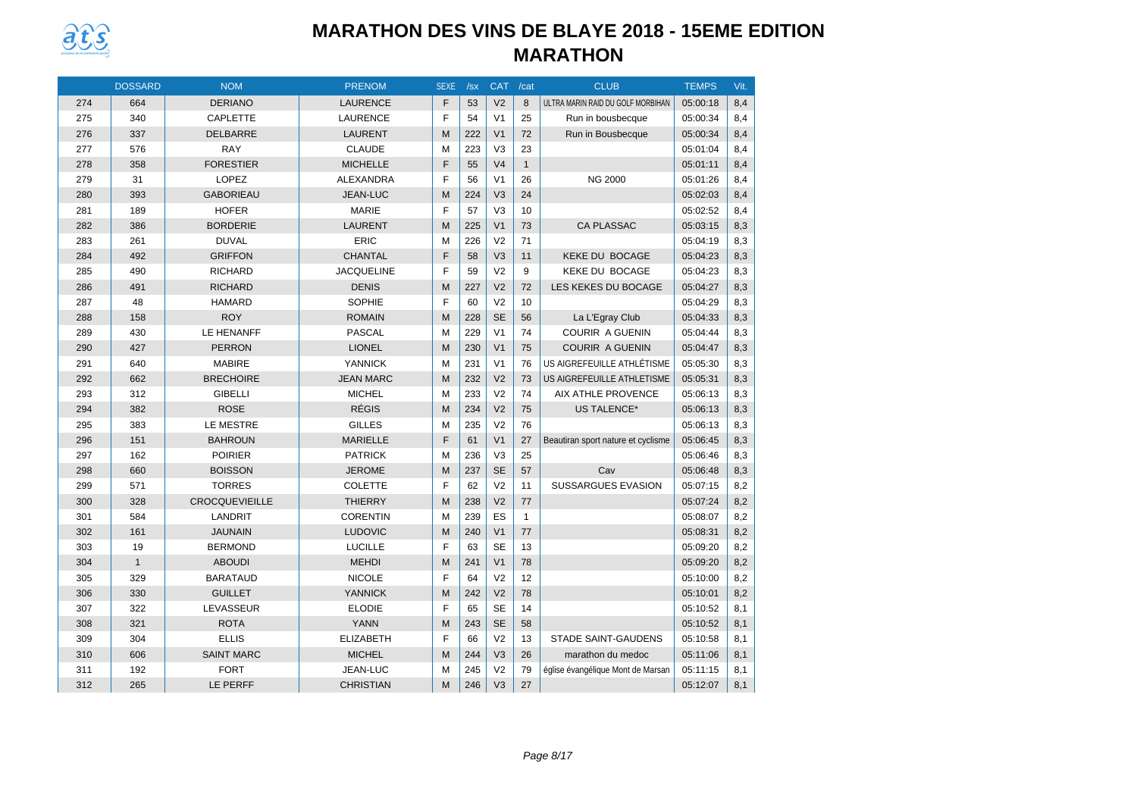

|     | <b>DOSSARD</b> | <b>NOM</b>            | <b>PRENOM</b>     | <b>SEXE</b> | /sx | <b>CAT</b>     | /cat         | <b>CLUB</b>                        | <b>TEMPS</b> | Vit. |
|-----|----------------|-----------------------|-------------------|-------------|-----|----------------|--------------|------------------------------------|--------------|------|
| 274 | 664            | <b>DERIANO</b>        | <b>LAURENCE</b>   | F           | 53  | V <sub>2</sub> | 8            | ULTRA MARIN RAID DU GOLF MORBIHAN  | 05:00:18     | 8,4  |
| 275 | 340            | <b>CAPLETTE</b>       | <b>LAURENCE</b>   | F           | 54  | V <sub>1</sub> | 25           | Run in bousbecque                  | 05:00:34     | 8,4  |
| 276 | 337            | DELBARRE              | <b>LAURENT</b>    | M           | 222 | V <sub>1</sub> | 72           | Run in Bousbecque                  | 05:00:34     | 8,4  |
| 277 | 576            | <b>RAY</b>            | <b>CLAUDE</b>     | M           | 223 | V <sub>3</sub> | 23           |                                    | 05:01:04     | 8,4  |
| 278 | 358            | <b>FORESTIER</b>      | <b>MICHELLE</b>   | F           | 55  | V <sub>4</sub> | $\mathbf{1}$ |                                    | 05:01:11     | 8,4  |
| 279 | 31             | LOPEZ                 | ALEXANDRA         | F           | 56  | V <sub>1</sub> | 26           | <b>NG 2000</b>                     | 05:01:26     | 8,4  |
| 280 | 393            | <b>GABORIEAU</b>      | <b>JEAN-LUC</b>   | M           | 224 | V <sub>3</sub> | 24           |                                    | 05:02:03     | 8,4  |
| 281 | 189            | <b>HOFER</b>          | <b>MARIE</b>      | F           | 57  | V <sub>3</sub> | 10           |                                    | 05:02:52     | 8,4  |
| 282 | 386            | <b>BORDERIE</b>       | <b>LAURENT</b>    | M           | 225 | V <sub>1</sub> | 73           | <b>CA PLASSAC</b>                  | 05:03:15     | 8,3  |
| 283 | 261            | <b>DUVAL</b>          | <b>ERIC</b>       | M           | 226 | V <sub>2</sub> | 71           |                                    | 05:04:19     | 8,3  |
| 284 | 492            | <b>GRIFFON</b>        | <b>CHANTAL</b>    | F           | 58  | V <sub>3</sub> | 11           | <b>KEKE DU BOCAGE</b>              | 05:04:23     | 8,3  |
| 285 | 490            | <b>RICHARD</b>        | <b>JACQUELINE</b> | F           | 59  | V <sub>2</sub> | 9            | <b>KEKE DU BOCAGE</b>              | 05:04:23     | 8,3  |
| 286 | 491            | <b>RICHARD</b>        | <b>DENIS</b>      | M           | 227 | V <sub>2</sub> | 72           | LES KEKES DU BOCAGE                | 05:04:27     | 8,3  |
| 287 | 48             | <b>HAMARD</b>         | SOPHIE            | F           | 60  | V <sub>2</sub> | 10           |                                    | 05:04:29     | 8,3  |
| 288 | 158            | <b>ROY</b>            | <b>ROMAIN</b>     | M           | 228 | <b>SE</b>      | 56           | La L'Egray Club                    | 05:04:33     | 8,3  |
| 289 | 430            | LE HENANFF            | <b>PASCAL</b>     | M           | 229 | V <sub>1</sub> | 74           | <b>COURIR A GUENIN</b>             | 05:04:44     | 8,3  |
| 290 | 427            | <b>PERRON</b>         | <b>LIONEL</b>     | M           | 230 | V <sub>1</sub> | 75           | <b>COURIR A GUENIN</b>             | 05:04:47     | 8,3  |
| 291 | 640            | <b>MABIRE</b>         | <b>YANNICK</b>    | M           | 231 | V <sub>1</sub> | 76           | US AIGREFEUILLE ATHLÉTISME         | 05:05:30     | 8,3  |
| 292 | 662            | <b>BRECHOIRE</b>      | <b>JEAN MARC</b>  | M           | 232 | V <sub>2</sub> | 73           | US AIGREFEUILLE ATHLETISME         | 05:05:31     | 8,3  |
| 293 | 312            | <b>GIBELLI</b>        | <b>MICHEL</b>     | M           | 233 | V <sub>2</sub> | 74           | <b>AIX ATHLE PROVENCE</b>          | 05:06:13     | 8,3  |
| 294 | 382            | <b>ROSE</b>           | <b>RÉGIS</b>      | M           | 234 | V <sub>2</sub> | 75           | <b>US TALENCE*</b>                 | 05:06:13     | 8,3  |
| 295 | 383            | LE MESTRE             | <b>GILLES</b>     | M           | 235 | V <sub>2</sub> | 76           |                                    | 05:06:13     | 8,3  |
| 296 | 151            | <b>BAHROUN</b>        | <b>MARIELLE</b>   | F           | 61  | V <sub>1</sub> | 27           | Beautiran sport nature et cyclisme | 05:06:45     | 8,3  |
| 297 | 162            | <b>POIRIER</b>        | <b>PATRICK</b>    | M           | 236 | V <sub>3</sub> | 25           |                                    | 05:06:46     | 8,3  |
| 298 | 660            | <b>BOISSON</b>        | <b>JEROME</b>     | M           | 237 | <b>SE</b>      | 57           | Cav                                | 05:06:48     | 8,3  |
| 299 | 571            | <b>TORRES</b>         | <b>COLETTE</b>    | F           | 62  | V <sub>2</sub> | 11           | <b>SUSSARGUES EVASION</b>          | 05:07:15     | 8,2  |
| 300 | 328            | <b>CROCQUEVIEILLE</b> | <b>THIERRY</b>    | M           | 238 | V <sub>2</sub> | 77           |                                    | 05:07:24     | 8,2  |
| 301 | 584            | LANDRIT               | <b>CORENTIN</b>   | M           | 239 | ES             | $\mathbf{1}$ |                                    | 05:08:07     | 8,2  |
| 302 | 161            | <b>JAUNAIN</b>        | <b>LUDOVIC</b>    | M           | 240 | V <sub>1</sub> | 77           |                                    | 05:08:31     | 8,2  |
| 303 | 19             | <b>BERMOND</b>        | <b>LUCILLE</b>    | F           | 63  | <b>SE</b>      | 13           |                                    | 05:09:20     | 8,2  |
| 304 | $\mathbf{1}$   | <b>ABOUDI</b>         | <b>MEHDI</b>      | M           | 241 | V <sub>1</sub> | 78           |                                    | 05:09:20     | 8,2  |
| 305 | 329            | <b>BARATAUD</b>       | <b>NICOLE</b>     | F           | 64  | V <sub>2</sub> | 12           |                                    | 05:10:00     | 8,2  |
| 306 | 330            | <b>GUILLET</b>        | <b>YANNICK</b>    | M           | 242 | V <sub>2</sub> | 78           |                                    | 05:10:01     | 8,2  |
| 307 | 322            | LEVASSEUR             | <b>ELODIE</b>     | F           | 65  | <b>SE</b>      | 14           |                                    | 05:10:52     | 8,1  |
| 308 | 321            | <b>ROTA</b>           | <b>YANN</b>       | M           | 243 | <b>SE</b>      | 58           |                                    | 05:10:52     | 8,1  |
| 309 | 304            | <b>ELLIS</b>          | <b>ELIZABETH</b>  | F           | 66  | V <sub>2</sub> | 13           | <b>STADE SAINT-GAUDENS</b>         | 05:10:58     | 8,1  |
| 310 | 606            | <b>SAINT MARC</b>     | <b>MICHEL</b>     | M           | 244 | V <sub>3</sub> | 26           | marathon du medoc                  | 05:11:06     | 8,1  |
| 311 | 192            | <b>FORT</b>           | JEAN-LUC          | M           | 245 | V <sub>2</sub> | 79           | église évangélique Mont de Marsan  | 05:11:15     | 8,1  |
| 312 | 265            | LE PERFF              | <b>CHRISTIAN</b>  | M           | 246 | V <sub>3</sub> | 27           |                                    | 05:12:07     | 8,1  |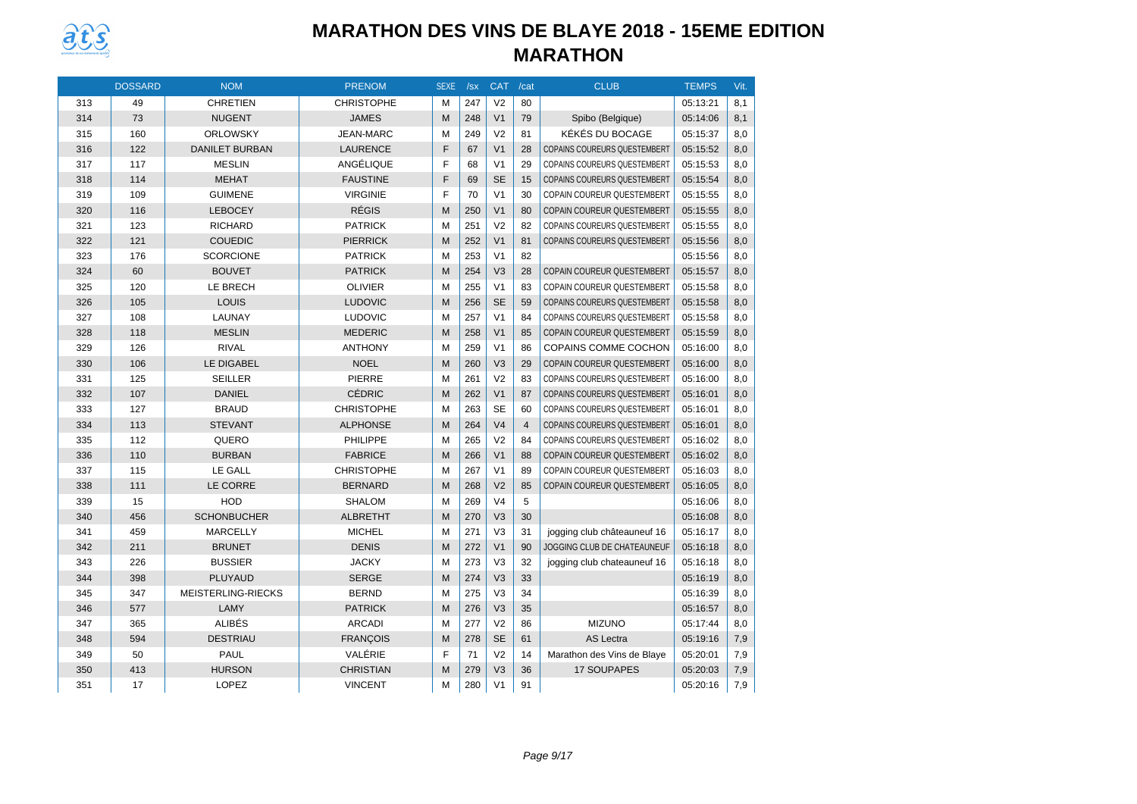

|     | <b>DOSSARD</b> | <b>NOM</b>            | <b>PRENOM</b>     | <b>SEXE</b> | /sx | <b>CAT</b>     | /cat           | <b>CLUB</b>                         | <b>TEMPS</b> | Vit. |
|-----|----------------|-----------------------|-------------------|-------------|-----|----------------|----------------|-------------------------------------|--------------|------|
| 313 | 49             | <b>CHRETIEN</b>       | <b>CHRISTOPHE</b> | M           | 247 | V <sub>2</sub> | 80             |                                     | 05:13:21     | 8,1  |
| 314 | 73             | <b>NUGENT</b>         | <b>JAMES</b>      | M           | 248 | V <sub>1</sub> | 79             | Spibo (Belgique)                    | 05:14:06     | 8,1  |
| 315 | 160            | <b>ORLOWSKY</b>       | <b>JEAN-MARC</b>  | M           | 249 | V <sub>2</sub> | 81             | KÉKÉS DU BOCAGE                     | 05:15:37     | 8,0  |
| 316 | 122            | <b>DANILET BURBAN</b> | <b>LAURENCE</b>   | F           | 67  | V <sub>1</sub> | 28             | <b>COPAINS COUREURS QUESTEMBERT</b> | 05:15:52     | 8,0  |
| 317 | 117            | <b>MESLIN</b>         | ANGÉLIQUE         | F           | 68  | V <sub>1</sub> | 29             | COPAINS COUREURS QUESTEMBERT        | 05:15:53     | 8,0  |
| 318 | 114            | <b>MEHAT</b>          | <b>FAUSTINE</b>   | F           | 69  | <b>SE</b>      | 15             | COPAINS COUREURS QUESTEMBERT        | 05:15:54     | 8,0  |
| 319 | 109            | <b>GUIMENE</b>        | <b>VIRGINIE</b>   | F           | 70  | V <sub>1</sub> | 30             | <b>COPAIN COUREUR QUESTEMBERT</b>   | 05:15:55     | 8.0  |
| 320 | 116            | <b>LEBOCEY</b>        | <b>RÉGIS</b>      | M           | 250 | V <sub>1</sub> | 80             | <b>COPAIN COUREUR QUESTEMBERT</b>   | 05:15:55     | 8,0  |
| 321 | 123            | <b>RICHARD</b>        | <b>PATRICK</b>    | M           | 251 | V <sub>2</sub> | 82             | <b>COPAINS COUREURS QUESTEMBERT</b> | 05:15:55     | 8,0  |
| 322 | 121            | <b>COUEDIC</b>        | <b>PIERRICK</b>   | M           | 252 | V <sub>1</sub> | 81             | <b>COPAINS COUREURS QUESTEMBERT</b> | 05:15:56     | 8,0  |
| 323 | 176            | <b>SCORCIONE</b>      | <b>PATRICK</b>    | M           | 253 | V <sub>1</sub> | 82             |                                     | 05:15:56     | 8,0  |
| 324 | 60             | <b>BOUVET</b>         | <b>PATRICK</b>    | M           | 254 | V <sub>3</sub> | 28             | <b>COPAIN COUREUR QUESTEMBERT</b>   | 05:15:57     | 8,0  |
| 325 | 120            | LE BRECH              | <b>OLIVIER</b>    | M           | 255 | V <sub>1</sub> | 83             | COPAIN COUREUR QUESTEMBERT          | 05:15:58     | 8,0  |
| 326 | 105            | LOUIS                 | <b>LUDOVIC</b>    | M           | 256 | <b>SE</b>      | 59             | COPAINS COUREURS QUESTEMBERT        | 05:15:58     | 8,0  |
| 327 | 108            | LAUNAY                | <b>LUDOVIC</b>    | M           | 257 | V <sub>1</sub> | 84             | <b>COPAINS COUREURS QUESTEMBERT</b> | 05:15:58     | 8,0  |
| 328 | 118            | <b>MESLIN</b>         | <b>MEDERIC</b>    | M           | 258 | V <sub>1</sub> | 85             | <b>COPAIN COUREUR QUESTEMBERT</b>   | 05:15:59     | 8,0  |
| 329 | 126            | <b>RIVAL</b>          | <b>ANTHONY</b>    | M           | 259 | V <sub>1</sub> | 86             | <b>COPAINS COMME COCHON</b>         | 05:16:00     | 8,0  |
| 330 | 106            | LE DIGABEL            | <b>NOEL</b>       | M           | 260 | V <sub>3</sub> | 29             | COPAIN COUREUR QUESTEMBERT          | 05:16:00     | 8,0  |
| 331 | 125            | <b>SEILLER</b>        | PIERRE            | M           | 261 | V <sub>2</sub> | 83             | COPAINS COUREURS QUESTEMBERT        | 05:16:00     | 8,0  |
| 332 | 107            | <b>DANIEL</b>         | <b>CÉDRIC</b>     | M           | 262 | V <sub>1</sub> | 87             | <b>COPAINS COUREURS QUESTEMBERT</b> | 05:16:01     | 8,0  |
| 333 | 127            | <b>BRAUD</b>          | <b>CHRISTOPHE</b> | M           | 263 | <b>SE</b>      | 60             | COPAINS COUREURS QUESTEMBERT        | 05:16:01     | 8,0  |
| 334 | 113            | <b>STEVANT</b>        | <b>ALPHONSE</b>   | M           | 264 | V <sub>4</sub> | $\overline{4}$ | <b>COPAINS COUREURS QUESTEMBERT</b> | 05:16:01     | 8,0  |
| 335 | 112            | QUERO                 | <b>PHILIPPE</b>   | M           | 265 | V <sub>2</sub> | 84             | <b>COPAINS COUREURS QUESTEMBERT</b> | 05:16:02     | 8,0  |
| 336 | 110            | <b>BURBAN</b>         | <b>FABRICE</b>    | M           | 266 | V <sub>1</sub> | 88             | <b>COPAIN COUREUR QUESTEMBERT</b>   | 05:16:02     | 8,0  |
| 337 | 115            | LE GALL               | <b>CHRISTOPHE</b> | M           | 267 | V <sub>1</sub> | 89             | <b>COPAIN COUREUR QUESTEMBERT</b>   | 05:16:03     | 8,0  |
| 338 | 111            | LE CORRE              | <b>BERNARD</b>    | M           | 268 | V <sub>2</sub> | 85             | <b>COPAIN COUREUR QUESTEMBERT</b>   | 05:16:05     | 8.0  |
| 339 | 15             | <b>HOD</b>            | <b>SHALOM</b>     | M           | 269 | V <sub>4</sub> | 5              |                                     | 05:16:06     | 8,0  |
| 340 | 456            | <b>SCHONBUCHER</b>    | <b>ALBRETHT</b>   | M           | 270 | V <sub>3</sub> | 30             |                                     | 05:16:08     | 8,0  |
| 341 | 459            | <b>MARCELLY</b>       | <b>MICHEL</b>     | M           | 271 | V <sub>3</sub> | 31             | jogging club châteauneuf 16         | 05:16:17     | 8,0  |
| 342 | 211            | <b>BRUNET</b>         | <b>DENIS</b>      | M           | 272 | V <sub>1</sub> | 90             | JOGGING CLUB DE CHATEAUNEUF         | 05:16:18     | 8,0  |
| 343 | 226            | <b>BUSSIER</b>        | <b>JACKY</b>      | M           | 273 | V <sub>3</sub> | 32             | jogging club chateauneuf 16         | 05:16:18     | 8,0  |
| 344 | 398            | PLUYAUD               | <b>SERGE</b>      | M           | 274 | V <sub>3</sub> | 33             |                                     | 05:16:19     | 8,0  |
| 345 | 347            | MEISTERLING-RIECKS    | <b>BERND</b>      | M           | 275 | V <sub>3</sub> | 34             |                                     | 05:16:39     | 8,0  |
| 346 | 577            | LAMY                  | <b>PATRICK</b>    | M           | 276 | V <sub>3</sub> | 35             |                                     | 05:16:57     | 8,0  |
| 347 | 365            | <b>ALIBÉS</b>         | <b>ARCADI</b>     | M           | 277 | V <sub>2</sub> | 86             | <b>MIZUNO</b>                       | 05:17:44     | 8,0  |
| 348 | 594            | <b>DESTRIAU</b>       | <b>FRANÇOIS</b>   | M           | 278 | <b>SE</b>      | 61             | <b>AS Lectra</b>                    | 05:19:16     | 7,9  |
| 349 | 50             | PAUL                  | VALÉRIE           | F           | 71  | V <sub>2</sub> | 14             | Marathon des Vins de Blaye          | 05:20:01     | 7,9  |
| 350 | 413            | <b>HURSON</b>         | <b>CHRISTIAN</b>  | M           | 279 | V <sub>3</sub> | 36             | <b>17 SOUPAPES</b>                  | 05:20:03     | 7,9  |
| 351 | 17             | <b>LOPEZ</b>          | <b>VINCENT</b>    | M           | 280 | V <sub>1</sub> | 91             |                                     | 05:20:16     | 7,9  |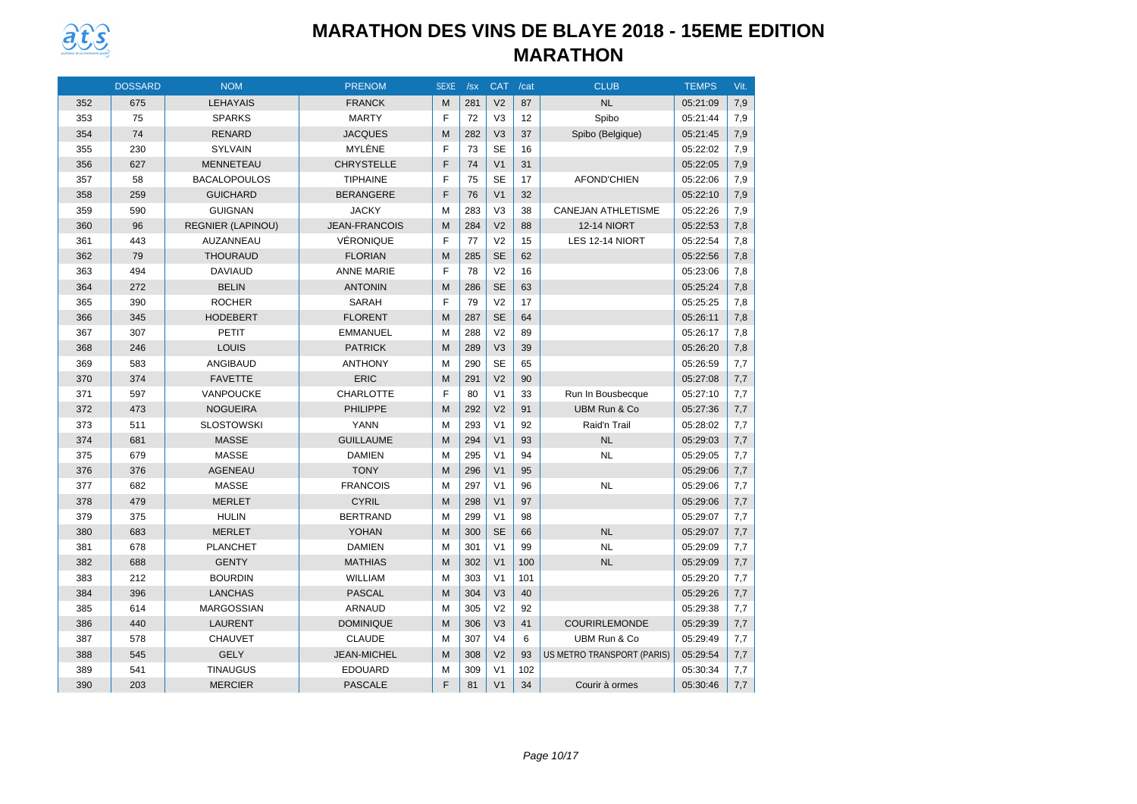

|     | <b>DOSSARD</b> | <b>NOM</b>               | <b>PRENOM</b>        | <b>SEXE</b> | /sx | <b>CAT</b>     | /cat | <b>CLUB</b>                | <b>TEMPS</b> | Vit. |
|-----|----------------|--------------------------|----------------------|-------------|-----|----------------|------|----------------------------|--------------|------|
| 352 | 675            | <b>LEHAYAIS</b>          | <b>FRANCK</b>        | M           | 281 | V <sub>2</sub> | 87   | <b>NL</b>                  | 05:21:09     | 7,9  |
| 353 | 75             | <b>SPARKS</b>            | <b>MARTY</b>         | F           | 72  | V <sub>3</sub> | 12   | Spibo                      | 05:21:44     | 7,9  |
| 354 | 74             | <b>RENARD</b>            | <b>JACQUES</b>       | M           | 282 | V <sub>3</sub> | 37   | Spibo (Belgique)           | 05:21:45     | 7,9  |
| 355 | 230            | <b>SYLVAIN</b>           | MYLÈNE               | F           | 73  | <b>SE</b>      | 16   |                            | 05:22:02     | 7,9  |
| 356 | 627            | <b>MENNETEAU</b>         | <b>CHRYSTELLE</b>    | F           | 74  | V <sub>1</sub> | 31   |                            | 05:22:05     | 7,9  |
| 357 | 58             | <b>BACALOPOULOS</b>      | <b>TIPHAINE</b>      | F           | 75  | <b>SE</b>      | 17   | <b>AFOND'CHIEN</b>         | 05:22:06     | 7,9  |
| 358 | 259            | <b>GUICHARD</b>          | <b>BERANGERE</b>     | F           | 76  | V <sub>1</sub> | 32   |                            | 05:22:10     | 7,9  |
| 359 | 590            | <b>GUIGNAN</b>           | <b>JACKY</b>         | M           | 283 | V <sub>3</sub> | 38   | <b>CANEJAN ATHLETISME</b>  | 05:22:26     | 7,9  |
| 360 | 96             | <b>REGNIER (LAPINOU)</b> | <b>JEAN-FRANCOIS</b> | M           | 284 | V <sub>2</sub> | 88   | <b>12-14 NIORT</b>         | 05:22:53     | 7,8  |
| 361 | 443            | AUZANNEAU                | <b>VÉRONIQUE</b>     | F           | 77  | V <sub>2</sub> | 15   | LES 12-14 NIORT            | 05:22:54     | 7,8  |
| 362 | 79             | <b>THOURAUD</b>          | <b>FLORIAN</b>       | M           | 285 | <b>SE</b>      | 62   |                            | 05:22:56     | 7,8  |
| 363 | 494            | <b>DAVIAUD</b>           | <b>ANNE MARIE</b>    | F           | 78  | V <sub>2</sub> | 16   |                            | 05:23:06     | 7,8  |
| 364 | 272            | <b>BELIN</b>             | <b>ANTONIN</b>       | M           | 286 | <b>SE</b>      | 63   |                            | 05:25:24     | 7,8  |
| 365 | 390            | <b>ROCHER</b>            | SARAH                | F           | 79  | V <sub>2</sub> | 17   |                            | 05:25:25     | 7,8  |
| 366 | 345            | <b>HODEBERT</b>          | <b>FLORENT</b>       | M           | 287 | <b>SE</b>      | 64   |                            | 05:26:11     | 7,8  |
| 367 | 307            | <b>PETIT</b>             | <b>EMMANUEL</b>      | M           | 288 | V <sub>2</sub> | 89   |                            | 05:26:17     | 7,8  |
| 368 | 246            | LOUIS                    | <b>PATRICK</b>       | M           | 289 | V <sub>3</sub> | 39   |                            | 05:26:20     | 7,8  |
| 369 | 583            | <b>ANGIBAUD</b>          | <b>ANTHONY</b>       | M           | 290 | <b>SE</b>      | 65   |                            | 05:26:59     | 7,7  |
| 370 | 374            | <b>FAVETTE</b>           | <b>ERIC</b>          | M           | 291 | V <sub>2</sub> | 90   |                            | 05:27:08     | 7,7  |
| 371 | 597            | VANPOUCKE                | <b>CHARLOTTE</b>     | F           | 80  | V <sub>1</sub> | 33   | Run In Bousbecque          | 05:27:10     | 7,7  |
| 372 | 473            | <b>NOGUEIRA</b>          | <b>PHILIPPE</b>      | M           | 292 | V <sub>2</sub> | 91   | UBM Run & Co               | 05:27:36     | 7,7  |
| 373 | 511            | <b>SLOSTOWSKI</b>        | <b>YANN</b>          | M           | 293 | V <sub>1</sub> | 92   | Raid'n Trail               | 05:28:02     | 7,7  |
| 374 | 681            | <b>MASSE</b>             | <b>GUILLAUME</b>     | M           | 294 | V <sub>1</sub> | 93   | <b>NL</b>                  | 05:29:03     | 7,7  |
| 375 | 679            | <b>MASSE</b>             | <b>DAMIEN</b>        | M           | 295 | V <sub>1</sub> | 94   | <b>NL</b>                  | 05:29:05     | 7,7  |
| 376 | 376            | <b>AGENEAU</b>           | <b>TONY</b>          | M           | 296 | V <sub>1</sub> | 95   |                            | 05:29:06     | 7,7  |
| 377 | 682            | <b>MASSE</b>             | <b>FRANCOIS</b>      | M           | 297 | V <sub>1</sub> | 96   | <b>NL</b>                  | 05:29:06     | 7,7  |
| 378 | 479            | <b>MERLET</b>            | <b>CYRIL</b>         | M           | 298 | V <sub>1</sub> | 97   |                            | 05:29:06     | 7,7  |
| 379 | 375            | <b>HULIN</b>             | <b>BERTRAND</b>      | M           | 299 | V <sub>1</sub> | 98   |                            | 05:29:07     | 7,7  |
| 380 | 683            | <b>MERLET</b>            | <b>YOHAN</b>         | M           | 300 | <b>SE</b>      | 66   | NL                         | 05:29:07     | 7,7  |
| 381 | 678            | <b>PLANCHET</b>          | <b>DAMIEN</b>        | M           | 301 | V <sub>1</sub> | 99   | <b>NL</b>                  | 05:29:09     | 7,7  |
| 382 | 688            | <b>GENTY</b>             | <b>MATHIAS</b>       | M           | 302 | V <sub>1</sub> | 100  | <b>NL</b>                  | 05:29:09     | 7,7  |
| 383 | 212            | <b>BOURDIN</b>           | <b>WILLIAM</b>       | M           | 303 | V <sub>1</sub> | 101  |                            | 05:29:20     | 7,7  |
| 384 | 396            | <b>LANCHAS</b>           | <b>PASCAL</b>        | M           | 304 | V <sub>3</sub> | 40   |                            | 05:29:26     | 7,7  |
| 385 | 614            | <b>MARGOSSIAN</b>        | <b>ARNAUD</b>        | M           | 305 | V <sub>2</sub> | 92   |                            | 05:29:38     | 7,7  |
| 386 | 440            | <b>LAURENT</b>           | <b>DOMINIQUE</b>     | M           | 306 | V <sub>3</sub> | 41   | <b>COURIRLEMONDE</b>       | 05:29:39     | 7,7  |
| 387 | 578            | <b>CHAUVET</b>           | <b>CLAUDE</b>        | M           | 307 | V <sub>4</sub> | 6    | UBM Run & Co               | 05:29:49     | 7,7  |
| 388 | 545            | <b>GELY</b>              | <b>JEAN-MICHEL</b>   | M           | 308 | V <sub>2</sub> | 93   | US METRO TRANSPORT (PARIS) | 05:29:54     | 7,7  |
| 389 | 541            | <b>TINAUGUS</b>          | <b>EDOUARD</b>       | M           | 309 | V <sub>1</sub> | 102  |                            | 05:30:34     | 7,7  |
| 390 | 203            | <b>MERCIER</b>           | <b>PASCALE</b>       | F           | 81  | V <sub>1</sub> | 34   | Courir à ormes             | 05:30:46     | 7,7  |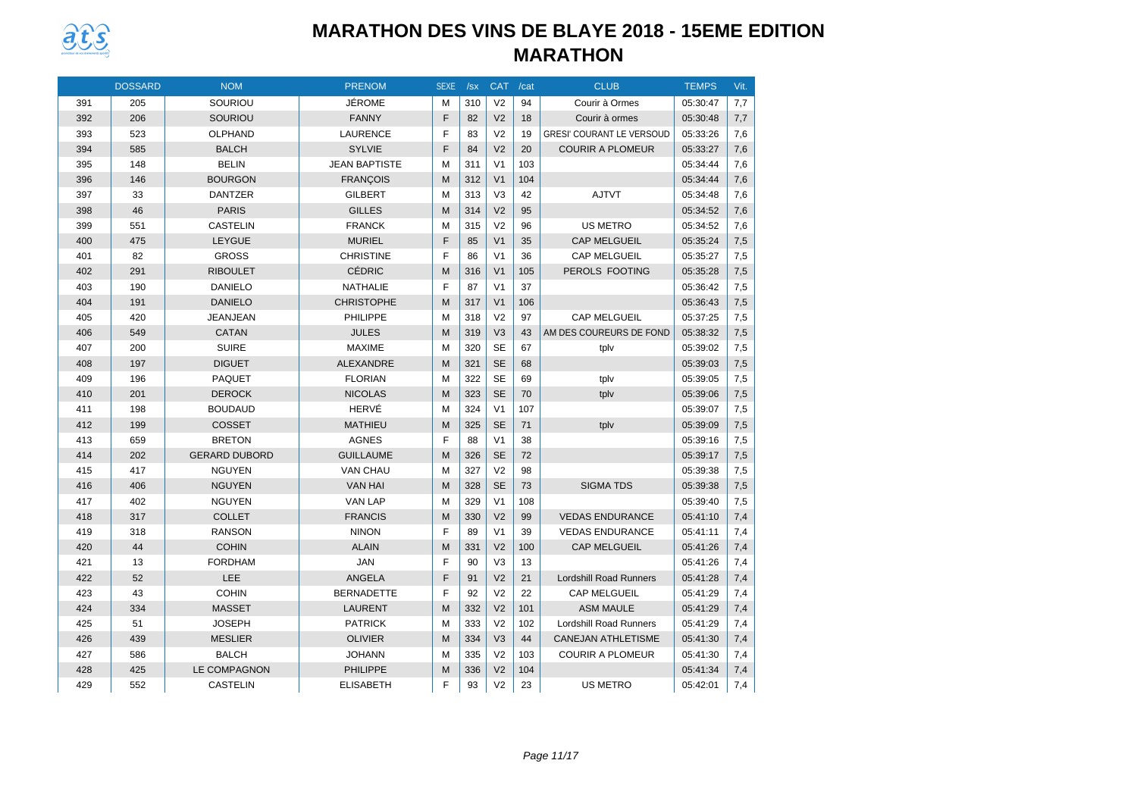

|     | <b>DOSSARD</b> | <b>NOM</b>           | <b>PRENOM</b>        | <b>SEXE</b> | /sx | <b>CAT</b>     | /cat | <b>CLUB</b>                      | <b>TEMPS</b> | Vit. |
|-----|----------------|----------------------|----------------------|-------------|-----|----------------|------|----------------------------------|--------------|------|
| 391 | 205            | SOURIOU              | JÉROME               | M           | 310 | V <sub>2</sub> | 94   | Courir à Ormes                   | 05:30:47     | 7,7  |
| 392 | 206            | SOURIOU              | <b>FANNY</b>         | F           | 82  | V <sub>2</sub> | 18   | Courir à ormes                   | 05:30:48     | 7,7  |
| 393 | 523            | <b>OLPHAND</b>       | <b>LAURENCE</b>      | F           | 83  | V <sub>2</sub> | 19   | <b>GRESI' COURANT LE VERSOUD</b> | 05:33:26     | 7,6  |
| 394 | 585            | <b>BALCH</b>         | <b>SYLVIE</b>        | F           | 84  | V <sub>2</sub> | 20   | <b>COURIR A PLOMEUR</b>          | 05:33:27     | 7,6  |
| 395 | 148            | <b>BELIN</b>         | <b>JEAN BAPTISTE</b> | M           | 311 | V <sub>1</sub> | 103  |                                  | 05:34:44     | 7,6  |
| 396 | 146            | <b>BOURGON</b>       | <b>FRANÇOIS</b>      | M           | 312 | V <sub>1</sub> | 104  |                                  | 05:34:44     | 7,6  |
| 397 | 33             | <b>DANTZER</b>       | <b>GILBERT</b>       | M           | 313 | V <sub>3</sub> | 42   | <b>AJTVT</b>                     | 05:34:48     | 7,6  |
| 398 | 46             | <b>PARIS</b>         | <b>GILLES</b>        | M           | 314 | V <sub>2</sub> | 95   |                                  | 05:34:52     | 7,6  |
| 399 | 551            | <b>CASTELIN</b>      | <b>FRANCK</b>        | M           | 315 | V <sub>2</sub> | 96   | <b>US METRO</b>                  | 05:34:52     | 7,6  |
| 400 | 475            | LEYGUE               | <b>MURIEL</b>        | F           | 85  | V <sub>1</sub> | 35   | <b>CAP MELGUEIL</b>              | 05:35:24     | 7,5  |
| 401 | 82             | <b>GROSS</b>         | <b>CHRISTINE</b>     | F           | 86  | V <sub>1</sub> | 36   | <b>CAP MELGUEIL</b>              | 05:35:27     | 7,5  |
| 402 | 291            | <b>RIBOULET</b>      | <b>CÉDRIC</b>        | M           | 316 | V <sub>1</sub> | 105  | PEROLS FOOTING                   | 05:35:28     | 7,5  |
| 403 | 190            | <b>DANIELO</b>       | <b>NATHALIE</b>      | F           | 87  | V <sub>1</sub> | 37   |                                  | 05:36:42     | 7,5  |
| 404 | 191            | <b>DANIELO</b>       | <b>CHRISTOPHE</b>    | M           | 317 | V <sub>1</sub> | 106  |                                  | 05:36:43     | 7,5  |
| 405 | 420            | <b>JEANJEAN</b>      | PHILIPPE             | м           | 318 | V <sub>2</sub> | 97   | <b>CAP MELGUEIL</b>              | 05:37:25     | 7,5  |
| 406 | 549            | <b>CATAN</b>         | <b>JULES</b>         | M           | 319 | V <sub>3</sub> | 43   | AM DES COUREURS DE FOND          | 05:38:32     | 7,5  |
| 407 | 200            | <b>SUIRE</b>         | <b>MAXIME</b>        | M           | 320 | <b>SE</b>      | 67   | tplv                             | 05:39:02     | 7,5  |
| 408 | 197            | <b>DIGUET</b>        | <b>ALEXANDRE</b>     | M           | 321 | <b>SE</b>      | 68   |                                  | 05:39:03     | 7,5  |
| 409 | 196            | <b>PAQUET</b>        | <b>FLORIAN</b>       | M           | 322 | <b>SE</b>      | 69   | tplv                             | 05:39:05     | 7,5  |
| 410 | 201            | <b>DEROCK</b>        | <b>NICOLAS</b>       | M           | 323 | <b>SE</b>      | 70   | tplv                             | 05:39:06     | 7,5  |
| 411 | 198            | <b>BOUDAUD</b>       | HERVÉ                | M           | 324 | V <sub>1</sub> | 107  |                                  | 05:39:07     | 7,5  |
| 412 | 199            | <b>COSSET</b>        | <b>MATHIEU</b>       | M           | 325 | <b>SE</b>      | 71   | tplv                             | 05:39:09     | 7,5  |
| 413 | 659            | <b>BRETON</b>        | <b>AGNES</b>         | F           | 88  | V <sub>1</sub> | 38   |                                  | 05:39:16     | 7,5  |
| 414 | 202            | <b>GERARD DUBORD</b> | <b>GUILLAUME</b>     | M           | 326 | <b>SE</b>      | 72   |                                  | 05:39:17     | 7,5  |
| 415 | 417            | <b>NGUYEN</b>        | VAN CHAU             | M           | 327 | V <sub>2</sub> | 98   |                                  | 05:39:38     | 7,5  |
| 416 | 406            | <b>NGUYEN</b>        | <b>VAN HAI</b>       | M           | 328 | <b>SE</b>      | 73   | <b>SIGMA TDS</b>                 | 05:39:38     | 7,5  |
| 417 | 402            | <b>NGUYEN</b>        | <b>VAN LAP</b>       | M           | 329 | V <sub>1</sub> | 108  |                                  | 05:39:40     | 7,5  |
| 418 | 317            | <b>COLLET</b>        | <b>FRANCIS</b>       | M           | 330 | V <sub>2</sub> | 99   | <b>VEDAS ENDURANCE</b>           | 05:41:10     | 7,4  |
| 419 | 318            | <b>RANSON</b>        | <b>NINON</b>         | F           | 89  | V <sub>1</sub> | 39   | <b>VEDAS ENDURANCE</b>           | 05:41:11     | 7.4  |
| 420 | 44             | <b>COHIN</b>         | <b>ALAIN</b>         | M           | 331 | V <sub>2</sub> | 100  | <b>CAP MELGUEIL</b>              | 05:41:26     | 7,4  |
| 421 | 13             | <b>FORDHAM</b>       | <b>JAN</b>           | F           | 90  | V <sub>3</sub> | 13   |                                  | 05:41:26     | 7,4  |
| 422 | 52             | LEE                  | <b>ANGELA</b>        | F           | 91  | V <sub>2</sub> | 21   | <b>Lordshill Road Runners</b>    | 05:41:28     | 7,4  |
| 423 | 43             | <b>COHIN</b>         | <b>BERNADETTE</b>    | F           | 92  | V <sub>2</sub> | 22   | <b>CAP MELGUEIL</b>              | 05:41:29     | 7,4  |
| 424 | 334            | <b>MASSET</b>        | <b>LAURENT</b>       | M           | 332 | V <sub>2</sub> | 101  | <b>ASM MAULE</b>                 | 05:41:29     | 7,4  |
| 425 | 51             | <b>JOSEPH</b>        | <b>PATRICK</b>       | м           | 333 | V <sub>2</sub> | 102  | Lordshill Road Runners           | 05:41:29     | 7,4  |
| 426 | 439            | <b>MESLIER</b>       | <b>OLIVIER</b>       | M           | 334 | V <sub>3</sub> | 44   | <b>CANEJAN ATHLETISME</b>        | 05:41:30     | 7,4  |
| 427 | 586            | <b>BALCH</b>         | <b>JOHANN</b>        | M           | 335 | V <sub>2</sub> | 103  | <b>COURIR A PLOMEUR</b>          | 05:41:30     | 7,4  |
| 428 | 425            | <b>LE COMPAGNON</b>  | <b>PHILIPPE</b>      | M           | 336 | V <sub>2</sub> | 104  |                                  | 05:41:34     | 7,4  |
| 429 | 552            | <b>CASTELIN</b>      | <b>ELISABETH</b>     | F           | 93  | V <sub>2</sub> | 23   | <b>US METRO</b>                  | 05:42:01     | 7,4  |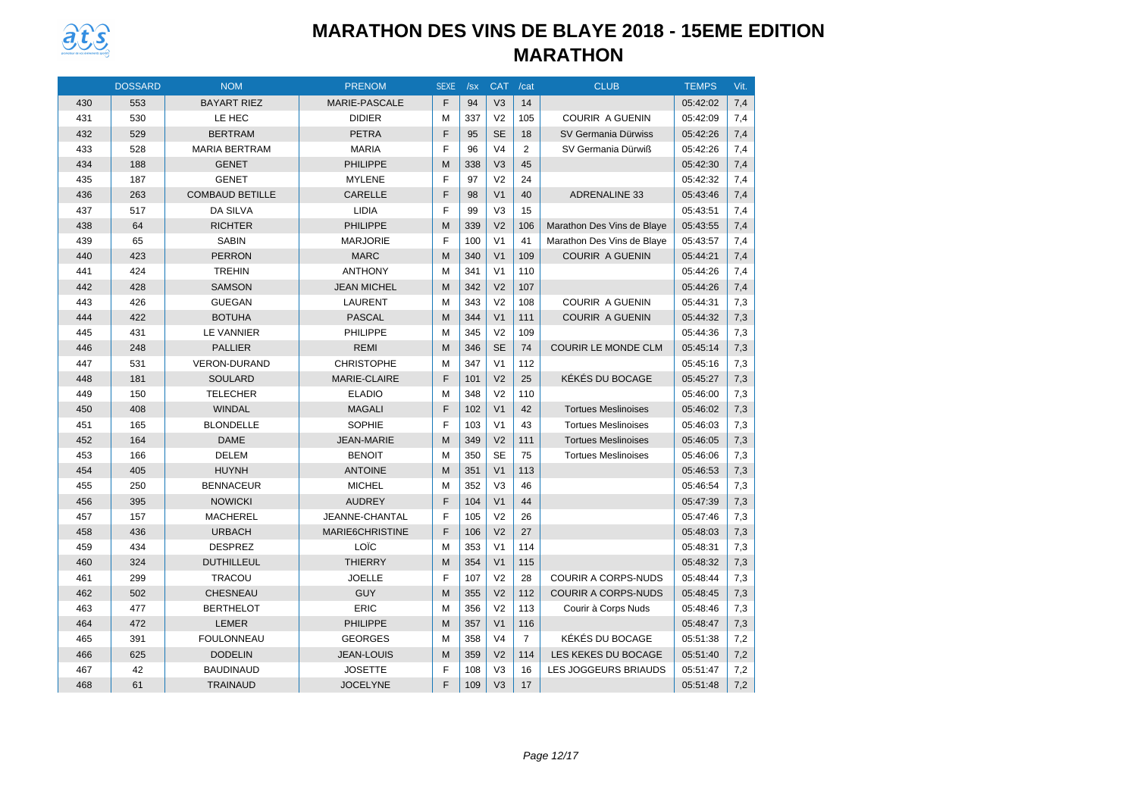

|     | <b>DOSSARD</b> | <b>NOM</b>             | <b>PRENOM</b>        | <b>SEXE</b> | /sx | <b>CAT</b>     | /cat           | <b>CLUB</b>                | <b>TEMPS</b> | Vit. |
|-----|----------------|------------------------|----------------------|-------------|-----|----------------|----------------|----------------------------|--------------|------|
| 430 | 553            | <b>BAYART RIEZ</b>     | <b>MARIE-PASCALE</b> | F           | 94  | V <sub>3</sub> | 14             |                            | 05:42:02     | 7,4  |
| 431 | 530            | LE HEC                 | <b>DIDIER</b>        | M           | 337 | V <sub>2</sub> | 105            | <b>COURIR A GUENIN</b>     | 05:42:09     | 7,4  |
| 432 | 529            | <b>BERTRAM</b>         | <b>PETRA</b>         | F           | 95  | <b>SE</b>      | 18             | SV Germania Dürwiss        | 05:42:26     | 7,4  |
| 433 | 528            | <b>MARIA BERTRAM</b>   | <b>MARIA</b>         | F           | 96  | V <sub>4</sub> | 2              | SV Germania Dürwiß         | 05:42:26     | 7,4  |
| 434 | 188            | <b>GENET</b>           | <b>PHILIPPE</b>      | M           | 338 | V <sub>3</sub> | 45             |                            | 05:42:30     | 7,4  |
| 435 | 187            | <b>GENET</b>           | <b>MYLENE</b>        | F           | 97  | V <sub>2</sub> | 24             |                            | 05:42:32     | 7,4  |
| 436 | 263            | <b>COMBAUD BETILLE</b> | CARELLE              | F           | 98  | V <sub>1</sub> | 40             | <b>ADRENALINE 33</b>       | 05:43:46     | 7,4  |
| 437 | 517            | <b>DA SILVA</b>        | <b>LIDIA</b>         | F           | 99  | V <sub>3</sub> | 15             |                            | 05:43:51     | 7,4  |
| 438 | 64             | <b>RICHTER</b>         | <b>PHILIPPE</b>      | M           | 339 | V <sub>2</sub> | 106            | Marathon Des Vins de Blaye | 05:43:55     | 7,4  |
| 439 | 65             | <b>SABIN</b>           | <b>MARJORIE</b>      | F           | 100 | V <sub>1</sub> | 41             | Marathon Des Vins de Blaye | 05:43:57     | 7,4  |
| 440 | 423            | PERRON                 | <b>MARC</b>          | M           | 340 | V <sub>1</sub> | 109            | <b>COURIR A GUENIN</b>     | 05:44:21     | 7,4  |
| 441 | 424            | <b>TREHIN</b>          | <b>ANTHONY</b>       | M           | 341 | V <sub>1</sub> | 110            |                            | 05:44:26     | 7,4  |
| 442 | 428            | <b>SAMSON</b>          | <b>JEAN MICHEL</b>   | M           | 342 | V <sub>2</sub> | 107            |                            | 05:44:26     | 7,4  |
| 443 | 426            | <b>GUEGAN</b>          | <b>LAURENT</b>       | M           | 343 | V <sub>2</sub> | 108            | <b>COURIR A GUENIN</b>     | 05:44:31     | 7,3  |
| 444 | 422            | <b>BOTUHA</b>          | <b>PASCAL</b>        | M           | 344 | V <sub>1</sub> | 111            | <b>COURIR A GUENIN</b>     | 05:44:32     | 7,3  |
| 445 | 431            | <b>LE VANNIER</b>      | PHILIPPE             | M           | 345 | V <sub>2</sub> | 109            |                            | 05:44:36     | 7,3  |
| 446 | 248            | <b>PALLIER</b>         | <b>REMI</b>          | M           | 346 | <b>SE</b>      | 74             | <b>COURIR LE MONDE CLM</b> | 05:45:14     | 7,3  |
| 447 | 531            | <b>VERON-DURAND</b>    | <b>CHRISTOPHE</b>    | M           | 347 | V <sub>1</sub> | 112            |                            | 05:45:16     | 7,3  |
| 448 | 181            | <b>SOULARD</b>         | MARIE-CLAIRE         | F           | 101 | V <sub>2</sub> | 25             | KÉKÉS DU BOCAGE            | 05:45:27     | 7,3  |
| 449 | 150            | <b>TELECHER</b>        | <b>ELADIO</b>        | M           | 348 | V <sub>2</sub> | 110            |                            | 05:46:00     | 7,3  |
| 450 | 408            | <b>WINDAL</b>          | <b>MAGALI</b>        | F           | 102 | V <sub>1</sub> | 42             | <b>Tortues Meslinoises</b> | 05:46:02     | 7,3  |
| 451 | 165            | <b>BLONDELLE</b>       | SOPHIE               | F           | 103 | V <sub>1</sub> | 43             | <b>Tortues Meslinoises</b> | 05:46:03     | 7,3  |
| 452 | 164            | <b>DAME</b>            | <b>JEAN-MARIE</b>    | M           | 349 | V <sub>2</sub> | 111            | <b>Tortues Meslinoises</b> | 05:46:05     | 7,3  |
| 453 | 166            | <b>DELEM</b>           | <b>BENOIT</b>        | M           | 350 | <b>SE</b>      | 75             | <b>Tortues Meslinoises</b> | 05:46:06     | 7,3  |
| 454 | 405            | <b>HUYNH</b>           | <b>ANTOINE</b>       | M           | 351 | V <sub>1</sub> | 113            |                            | 05:46:53     | 7,3  |
| 455 | 250            | <b>BENNACEUR</b>       | <b>MICHEL</b>        | M           | 352 | V <sub>3</sub> | 46             |                            | 05:46:54     | 7,3  |
| 456 | 395            | <b>NOWICKI</b>         | <b>AUDREY</b>        | F           | 104 | V <sub>1</sub> | 44             |                            | 05:47:39     | 7,3  |
| 457 | 157            | <b>MACHEREL</b>        | JEANNE-CHANTAL       | F           | 105 | V <sub>2</sub> | 26             |                            | 05:47:46     | 7,3  |
| 458 | 436            | <b>URBACH</b>          | MARIE6CHRISTINE      | F           | 106 | V <sub>2</sub> | 27             |                            | 05:48:03     | 7,3  |
| 459 | 434            | <b>DESPREZ</b>         | LOÏC                 | M           | 353 | V <sub>1</sub> | 114            |                            | 05:48:31     | 7,3  |
| 460 | 324            | <b>DUTHILLEUL</b>      | <b>THIERRY</b>       | M           | 354 | V <sub>1</sub> | 115            |                            | 05:48:32     | 7,3  |
| 461 | 299            | <b>TRACOU</b>          | <b>JOELLE</b>        | F           | 107 | V <sub>2</sub> | 28             | <b>COURIR A CORPS-NUDS</b> | 05:48:44     | 7,3  |
| 462 | 502            | <b>CHESNEAU</b>        | <b>GUY</b>           | M           | 355 | V <sub>2</sub> | 112            | <b>COURIR A CORPS-NUDS</b> | 05:48:45     | 7,3  |
| 463 | 477            | <b>BERTHELOT</b>       | <b>ERIC</b>          | M           | 356 | V <sub>2</sub> | 113            | Courir à Corps Nuds        | 05:48:46     | 7,3  |
| 464 | 472            | <b>LEMER</b>           | <b>PHILIPPE</b>      | M           | 357 | V <sub>1</sub> | 116            |                            | 05:48:47     | 7,3  |
| 465 | 391            | <b>FOULONNEAU</b>      | <b>GEORGES</b>       | M           | 358 | V <sub>4</sub> | $\overline{7}$ | KÉKÉS DU BOCAGE            | 05:51:38     | 7,2  |
| 466 | 625            | <b>DODELIN</b>         | <b>JEAN-LOUIS</b>    | M           | 359 | V <sub>2</sub> | 114            | LES KEKES DU BOCAGE        | 05:51:40     | 7,2  |
| 467 | 42             | <b>BAUDINAUD</b>       | <b>JOSETTE</b>       | F           | 108 | V <sub>3</sub> | 16             | LES JOGGEURS BRIAUDS       | 05:51:47     | 7,2  |
| 468 | 61             | <b>TRAINAUD</b>        | <b>JOCELYNE</b>      | F           | 109 | V <sub>3</sub> | 17             |                            | 05:51:48     | 7,2  |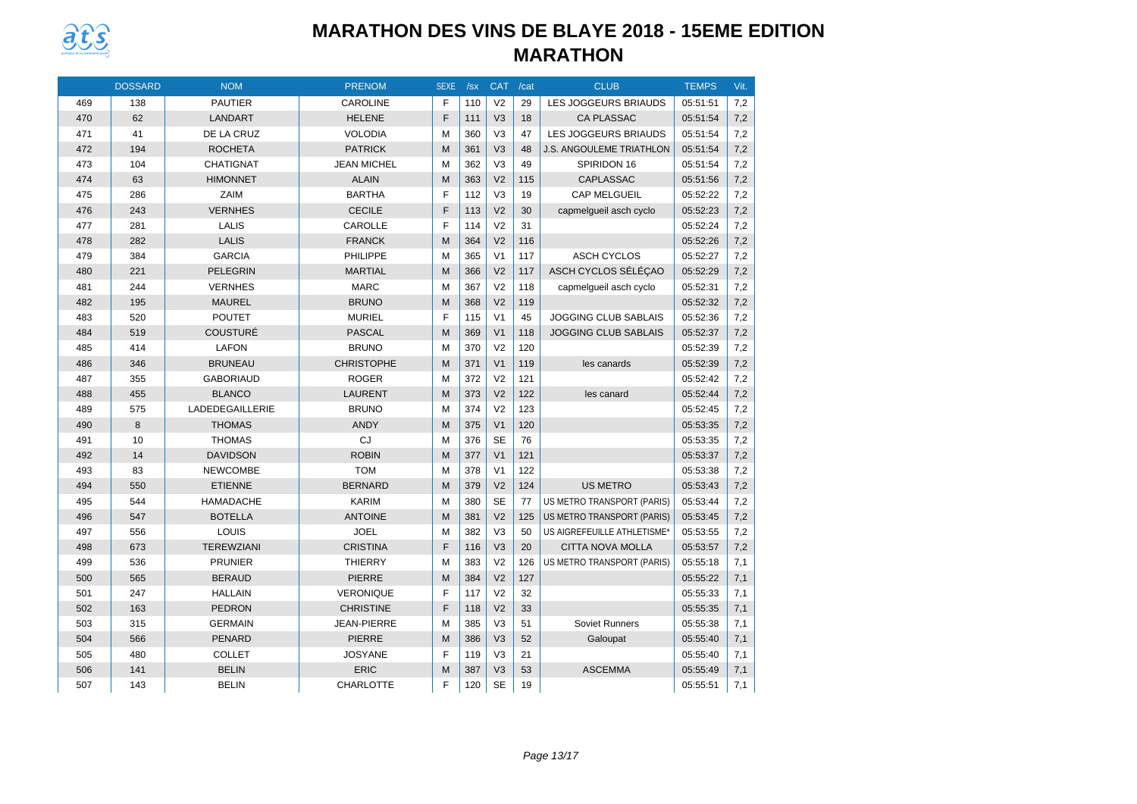

|     | <b>DOSSARD</b> | <b>NOM</b>        | <b>PRENOM</b>      | <b>SEXE</b> | /sx | <b>CAT</b>     | /cat | <b>CLUB</b>                       | <b>TEMPS</b> | Vit. |
|-----|----------------|-------------------|--------------------|-------------|-----|----------------|------|-----------------------------------|--------------|------|
| 469 | 138            | <b>PAUTIER</b>    | <b>CAROLINE</b>    | F           | 110 | V <sub>2</sub> | 29   | <b>LES JOGGEURS BRIAUDS</b>       | 05:51:51     | 7,2  |
| 470 | 62             | LANDART           | <b>HELENE</b>      | F           | 111 | V <sub>3</sub> | 18   | <b>CA PLASSAC</b>                 | 05:51:54     | 7,2  |
| 471 | 41             | DE LA CRUZ        | <b>VOLODIA</b>     | M           | 360 | V <sub>3</sub> | 47   | <b>LES JOGGEURS BRIAUDS</b>       | 05:51:54     | 7,2  |
| 472 | 194            | <b>ROCHETA</b>    | <b>PATRICK</b>     | М           | 361 | V <sub>3</sub> | 48   | <b>J.S. ANGOULEME TRIATHLON</b>   | 05:51:54     | 7,2  |
| 473 | 104            | <b>CHATIGNAT</b>  | <b>JEAN MICHEL</b> | M           | 362 | V <sub>3</sub> | 49   | SPIRIDON 16                       | 05:51:54     | 7,2  |
| 474 | 63             | <b>HIMONNET</b>   | <b>ALAIN</b>       | M           | 363 | V <sub>2</sub> | 115  | <b>CAPLASSAC</b>                  | 05:51:56     | 7,2  |
| 475 | 286            | <b>ZAIM</b>       | <b>BARTHA</b>      | F           | 112 | V <sub>3</sub> | 19   | <b>CAP MELGUEIL</b>               | 05:52:22     | 7,2  |
| 476 | 243            | <b>VERNHES</b>    | <b>CECILE</b>      | F           | 113 | V <sub>2</sub> | 30   | capmelgueil asch cyclo            | 05:52:23     | 7,2  |
| 477 | 281            | <b>LALIS</b>      | CAROLLE            | F           | 114 | V <sub>2</sub> | 31   |                                   | 05:52:24     | 7,2  |
| 478 | 282            | <b>LALIS</b>      | <b>FRANCK</b>      | M           | 364 | V <sub>2</sub> | 116  |                                   | 05:52:26     | 7,2  |
| 479 | 384            | <b>GARCIA</b>     | <b>PHILIPPE</b>    | M           | 365 | V <sub>1</sub> | 117  | <b>ASCH CYCLOS</b>                | 05:52:27     | 7,2  |
| 480 | 221            | <b>PELEGRIN</b>   | <b>MARTIAL</b>     | M           | 366 | V <sub>2</sub> | 117  | ASCH CYCLOS SÉLÉÇAO               | 05:52:29     | 7,2  |
| 481 | 244            | <b>VERNHES</b>    | <b>MARC</b>        | M           | 367 | V <sub>2</sub> | 118  | capmelgueil asch cyclo            | 05:52:31     | 7,2  |
| 482 | 195            | <b>MAUREL</b>     | <b>BRUNO</b>       | M           | 368 | V <sub>2</sub> | 119  |                                   | 05:52:32     | 7,2  |
| 483 | 520            | <b>POUTET</b>     | <b>MURIEL</b>      | F           | 115 | V <sub>1</sub> | 45   | <b>JOGGING CLUB SABLAIS</b>       | 05:52:36     | 7,2  |
| 484 | 519            | COUSTURÉ          | <b>PASCAL</b>      | M           | 369 | V <sub>1</sub> | 118  | <b>JOGGING CLUB SABLAIS</b>       | 05:52:37     | 7,2  |
| 485 | 414            | <b>LAFON</b>      | <b>BRUNO</b>       | M           | 370 | V <sub>2</sub> | 120  |                                   | 05:52:39     | 7,2  |
| 486 | 346            | <b>BRUNEAU</b>    | <b>CHRISTOPHE</b>  | M           | 371 | V <sub>1</sub> | 119  | les canards                       | 05:52:39     | 7,2  |
| 487 | 355            | <b>GABORIAUD</b>  | <b>ROGER</b>       | M           | 372 | V <sub>2</sub> | 121  |                                   | 05:52:42     | 7,2  |
| 488 | 455            | <b>BLANCO</b>     | <b>LAURENT</b>     | M           | 373 | V <sub>2</sub> | 122  | les canard                        | 05:52:44     | 7,2  |
| 489 | 575            | LADEDEGAILLERIE   | <b>BRUNO</b>       | M           | 374 | V <sub>2</sub> | 123  |                                   | 05:52:45     | 7,2  |
| 490 | 8              | <b>THOMAS</b>     | <b>ANDY</b>        | M           | 375 | V <sub>1</sub> | 120  |                                   | 05:53:35     | 7,2  |
| 491 | 10             | <b>THOMAS</b>     | CJ                 | M           | 376 | <b>SE</b>      | 76   |                                   | 05:53:35     | 7,2  |
| 492 | 14             | <b>DAVIDSON</b>   | <b>ROBIN</b>       | M           | 377 | V <sub>1</sub> | 121  |                                   | 05:53:37     | 7,2  |
| 493 | 83             | <b>NEWCOMBE</b>   | <b>TOM</b>         | M           | 378 | V <sub>1</sub> | 122  |                                   | 05:53:38     | 7,2  |
| 494 | 550            | <b>ETIENNE</b>    | <b>BERNARD</b>     | M           | 379 | V <sub>2</sub> | 124  | <b>US METRO</b>                   | 05:53:43     | 7,2  |
| 495 | 544            | <b>HAMADACHE</b>  | <b>KARIM</b>       | M           | 380 | <b>SE</b>      | 77   | US METRO TRANSPORT (PARIS)        | 05:53:44     | 7,2  |
| 496 | 547            | <b>BOTELLA</b>    | <b>ANTOINE</b>     | M           | 381 | V <sub>2</sub> | 125  | <b>US METRO TRANSPORT (PARIS)</b> | 05:53:45     | 7,2  |
| 497 | 556            | LOUIS             | <b>JOEL</b>        | M           | 382 | V <sub>3</sub> | 50   | US AIGREFEUILLE ATHLETISME*       | 05:53:55     | 7,2  |
| 498 | 673            | <b>TEREWZIANI</b> | <b>CRISTINA</b>    | F           | 116 | V <sub>3</sub> | 20   | <b>CITTA NOVA MOLLA</b>           | 05:53:57     | 7,2  |
| 499 | 536            | <b>PRUNIER</b>    | <b>THIERRY</b>     | M           | 383 | V <sub>2</sub> | 126  | US METRO TRANSPORT (PARIS)        | 05:55:18     | 7,1  |
| 500 | 565            | <b>BERAUD</b>     | <b>PIERRE</b>      | M           | 384 | V <sub>2</sub> | 127  |                                   | 05:55:22     | 7,1  |
| 501 | 247            | <b>HALLAIN</b>    | <b>VERONIQUE</b>   | F           | 117 | V <sub>2</sub> | 32   |                                   | 05:55:33     | 7,1  |
| 502 | 163            | <b>PEDRON</b>     | <b>CHRISTINE</b>   | F           | 118 | V <sub>2</sub> | 33   |                                   | 05:55:35     | 7,1  |
| 503 | 315            | <b>GERMAIN</b>    | <b>JEAN-PIERRE</b> | M           | 385 | V <sub>3</sub> | 51   | Soviet Runners                    | 05:55:38     | 7,1  |
| 504 | 566            | PENARD            | <b>PIERRE</b>      | M           | 386 | V <sub>3</sub> | 52   | Galoupat                          | 05:55:40     | 7,1  |
| 505 | 480            | <b>COLLET</b>     | <b>JOSYANE</b>     | F           | 119 | V <sub>3</sub> | 21   |                                   | 05:55:40     | 7,1  |
| 506 | 141            | <b>BELIN</b>      | <b>ERIC</b>        | M           | 387 | V <sub>3</sub> | 53   | <b>ASCEMMA</b>                    | 05:55:49     | 7,1  |
| 507 | 143            | <b>BELIN</b>      | <b>CHARLOTTE</b>   | F           | 120 | <b>SE</b>      | 19   |                                   | 05:55:51     | 7,1  |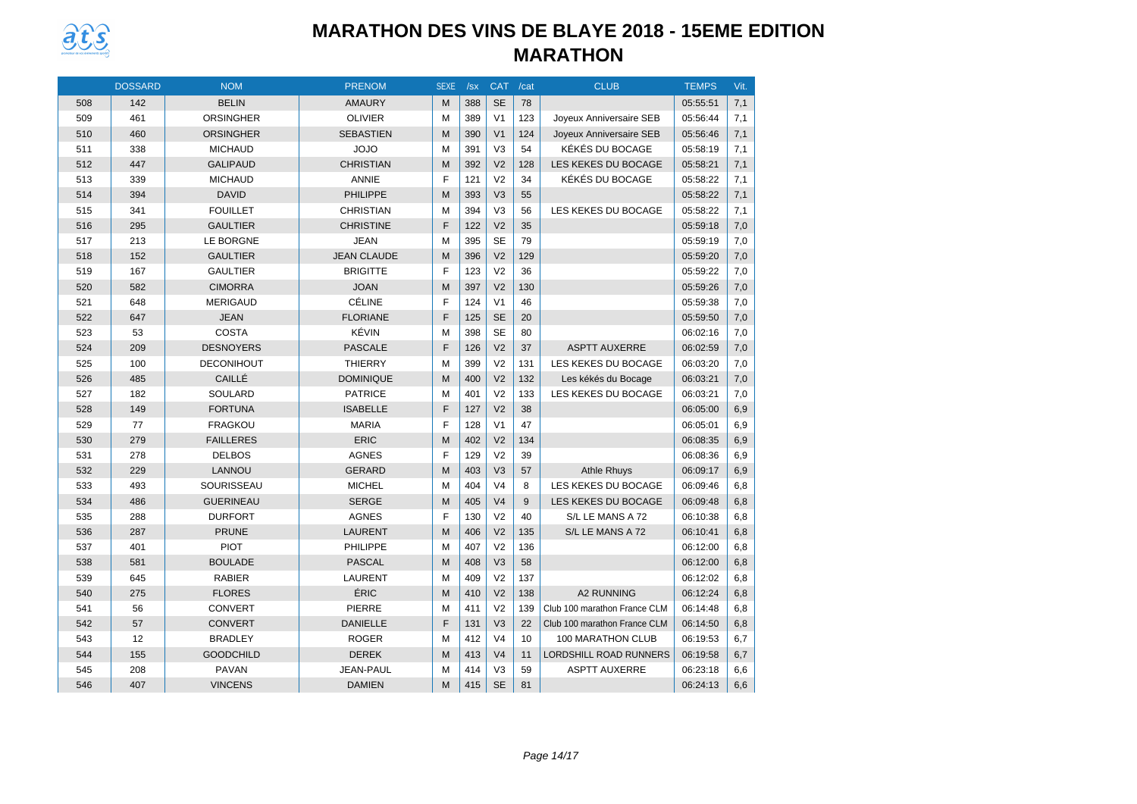

|     | <b>DOSSARD</b> | <b>NOM</b>        | <b>PRENOM</b>      | <b>SEXE</b> | /sx | <b>CAT</b>     | /cat | <b>CLUB</b>                   | <b>TEMPS</b> | Vit. |
|-----|----------------|-------------------|--------------------|-------------|-----|----------------|------|-------------------------------|--------------|------|
| 508 | 142            | <b>BELIN</b>      | <b>AMAURY</b>      | M           | 388 | <b>SE</b>      | 78   |                               | 05:55:51     | 7,1  |
| 509 | 461            | <b>ORSINGHER</b>  | <b>OLIVIER</b>     | M           | 389 | V <sub>1</sub> | 123  | Joyeux Anniversaire SEB       | 05:56:44     | 7,1  |
| 510 | 460            | <b>ORSINGHER</b>  | <b>SEBASTIEN</b>   | M           | 390 | V <sub>1</sub> | 124  | Joyeux Anniversaire SEB       | 05:56:46     | 7,1  |
| 511 | 338            | <b>MICHAUD</b>    | OLOL               | M           | 391 | V <sub>3</sub> | 54   | KÉKÉS DU BOCAGE               | 05:58:19     | 7,1  |
| 512 | 447            | <b>GALIPAUD</b>   | <b>CHRISTIAN</b>   | M           | 392 | V <sub>2</sub> | 128  | LES KEKES DU BOCAGE           | 05:58:21     | 7,1  |
| 513 | 339            | <b>MICHAUD</b>    | <b>ANNIE</b>       | F           | 121 | V <sub>2</sub> | 34   | KÉKÉS DU BOCAGE               | 05:58:22     | 7,1  |
| 514 | 394            | <b>DAVID</b>      | <b>PHILIPPE</b>    | M           | 393 | V <sub>3</sub> | 55   |                               | 05:58:22     | 7,1  |
| 515 | 341            | <b>FOUILLET</b>   | <b>CHRISTIAN</b>   | M           | 394 | V <sub>3</sub> | 56   | LES KEKES DU BOCAGE           | 05:58:22     | 7,1  |
| 516 | 295            | <b>GAULTIER</b>   | <b>CHRISTINE</b>   | F           | 122 | V <sub>2</sub> | 35   |                               | 05:59:18     | 7,0  |
| 517 | 213            | LE BORGNE         | <b>JEAN</b>        | M           | 395 | <b>SE</b>      | 79   |                               | 05:59:19     | 7,0  |
| 518 | 152            | <b>GAULTIER</b>   | <b>JEAN CLAUDE</b> | M           | 396 | V <sub>2</sub> | 129  |                               | 05:59:20     | 7,0  |
| 519 | 167            | <b>GAULTIER</b>   | <b>BRIGITTE</b>    | F           | 123 | V <sub>2</sub> | 36   |                               | 05:59:22     | 7,0  |
| 520 | 582            | <b>CIMORRA</b>    | <b>JOAN</b>        | M           | 397 | V <sub>2</sub> | 130  |                               | 05:59:26     | 7,0  |
| 521 | 648            | <b>MERIGAUD</b>   | <b>CÉLINE</b>      | F           | 124 | V <sub>1</sub> | 46   |                               | 05:59:38     | 7,0  |
| 522 | 647            | <b>JEAN</b>       | <b>FLORIANE</b>    | F           | 125 | <b>SE</b>      | 20   |                               | 05:59:50     | 7,0  |
| 523 | 53             | <b>COSTA</b>      | KÉVIN              | M           | 398 | <b>SE</b>      | 80   |                               | 06:02:16     | 7,0  |
| 524 | 209            | <b>DESNOYERS</b>  | <b>PASCALE</b>     | F           | 126 | V <sub>2</sub> | 37   | <b>ASPTT AUXERRE</b>          | 06:02:59     | 7,0  |
| 525 | 100            | <b>DECONIHOUT</b> | <b>THIERRY</b>     | M           | 399 | V <sub>2</sub> | 131  | LES KEKES DU BOCAGE           | 06:03:20     | 7,0  |
| 526 | 485            | CAILLÉ            | <b>DOMINIQUE</b>   | M           | 400 | V <sub>2</sub> | 132  | Les kékés du Bocage           | 06:03:21     | 7,0  |
| 527 | 182            | SOULARD           | <b>PATRICE</b>     | M           | 401 | V <sub>2</sub> | 133  | LES KEKES DU BOCAGE           | 06:03:21     | 7,0  |
| 528 | 149            | <b>FORTUNA</b>    | <b>ISABELLE</b>    | F           | 127 | V <sub>2</sub> | 38   |                               | 06:05:00     | 6,9  |
| 529 | 77             | <b>FRAGKOU</b>    | <b>MARIA</b>       | F           | 128 | V <sub>1</sub> | 47   |                               | 06:05:01     | 6,9  |
| 530 | 279            | <b>FAILLERES</b>  | <b>ERIC</b>        | M           | 402 | V <sub>2</sub> | 134  |                               | 06:08:35     | 6,9  |
| 531 | 278            | <b>DELBOS</b>     | AGNES              | F           | 129 | V <sub>2</sub> | 39   |                               | 06:08:36     | 6,9  |
| 532 | 229            | LANNOU            | <b>GERARD</b>      | M           | 403 | V <sub>3</sub> | 57   | <b>Athle Rhuys</b>            | 06:09:17     | 6,9  |
| 533 | 493            | SOURISSEAU        | <b>MICHEL</b>      | M           | 404 | V <sub>4</sub> | 8    | LES KEKES DU BOCAGE           | 06:09:46     | 6,8  |
| 534 | 486            | <b>GUERINEAU</b>  | <b>SERGE</b>       | M           | 405 | V <sub>4</sub> | 9    | LES KEKES DU BOCAGE           | 06:09:48     | 6,8  |
| 535 | 288            | <b>DURFORT</b>    | <b>AGNES</b>       | F           | 130 | V <sub>2</sub> | 40   | S/L LE MANS A 72              | 06:10:38     | 6,8  |
| 536 | 287            | <b>PRUNE</b>      | <b>LAURENT</b>     | M           | 406 | V <sub>2</sub> | 135  | S/L LE MANS A 72              | 06:10:41     | 6,8  |
| 537 | 401            | <b>PIOT</b>       | <b>PHILIPPE</b>    | M           | 407 | V <sub>2</sub> | 136  |                               | 06:12:00     | 6,8  |
| 538 | 581            | <b>BOULADE</b>    | <b>PASCAL</b>      | M           | 408 | V <sub>3</sub> | 58   |                               | 06:12:00     | 6,8  |
| 539 | 645            | <b>RABIER</b>     | LAURENT            | M           | 409 | V <sub>2</sub> | 137  |                               | 06:12:02     | 6,8  |
| 540 | 275            | <b>FLORES</b>     | ÉRIC               | M           | 410 | V <sub>2</sub> | 138  | <b>A2 RUNNING</b>             | 06:12:24     | 6,8  |
| 541 | 56             | <b>CONVERT</b>    | <b>PIERRE</b>      | M           | 411 | V <sub>2</sub> | 139  | Club 100 marathon France CLM  | 06:14:48     | 6,8  |
| 542 | 57             | <b>CONVERT</b>    | <b>DANIELLE</b>    | F           | 131 | V <sub>3</sub> | 22   | Club 100 marathon France CLM  | 06:14:50     | 6,8  |
| 543 | 12             | <b>BRADLEY</b>    | <b>ROGER</b>       | M           | 412 | V <sub>4</sub> | 10   | 100 MARATHON CLUB             | 06:19:53     | 6,7  |
| 544 | 155            | <b>GOODCHILD</b>  | <b>DEREK</b>       | M           | 413 | V <sub>4</sub> | 11   | <b>LORDSHILL ROAD RUNNERS</b> | 06:19:58     | 6,7  |
| 545 | 208            | <b>PAVAN</b>      | JEAN-PAUL          | M           | 414 | V <sub>3</sub> | 59   | <b>ASPTT AUXERRE</b>          | 06:23:18     | 6,6  |
| 546 | 407            | <b>VINCENS</b>    | <b>DAMIEN</b>      | M           | 415 | <b>SE</b>      | 81   |                               | 06:24:13     | 6,6  |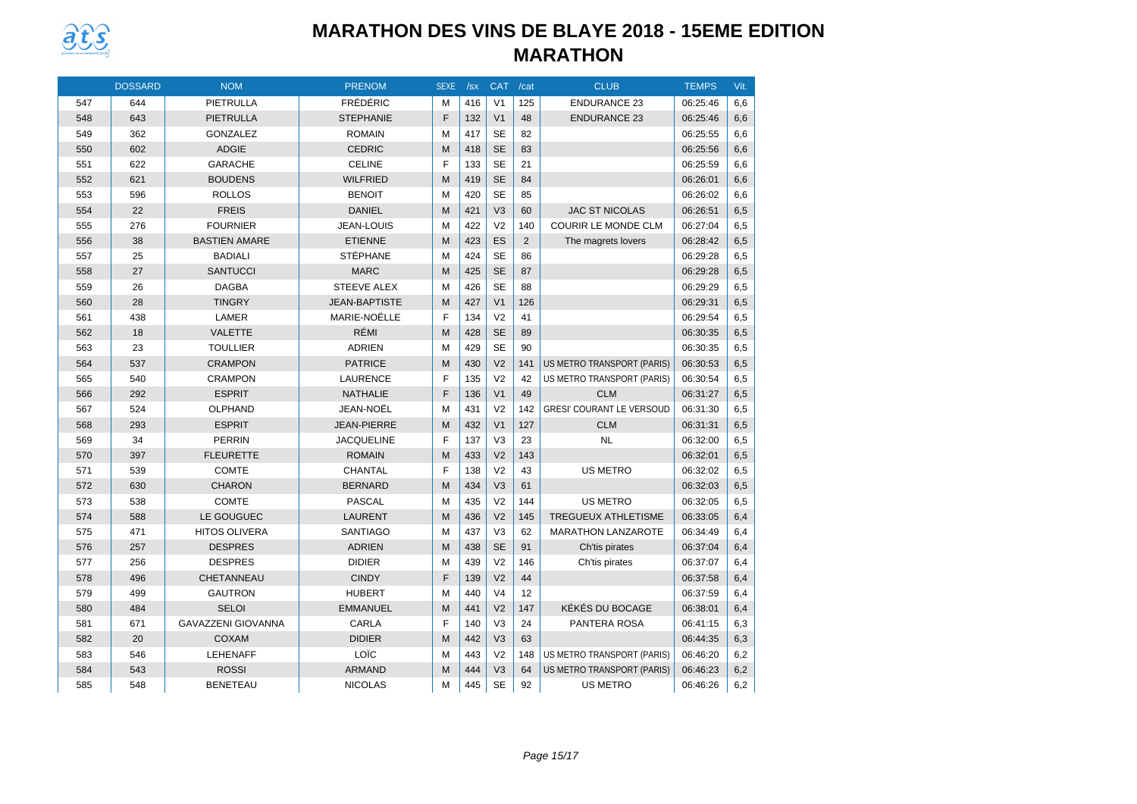

|     | <b>DOSSARD</b> | <b>NOM</b>                | <b>PRENOM</b>        | <b>SEXE</b> | /sx | <b>CAT</b>     | /cat | <b>CLUB</b>                      | <b>TEMPS</b> | Vit. |
|-----|----------------|---------------------------|----------------------|-------------|-----|----------------|------|----------------------------------|--------------|------|
| 547 | 644            | PIETRULLA                 | <b>FRÉDÉRIC</b>      | M           | 416 | V <sub>1</sub> | 125  | <b>ENDURANCE 23</b>              | 06:25:46     | 6,6  |
| 548 | 643            | <b>PIETRULLA</b>          | <b>STEPHANIE</b>     | F           | 132 | V <sub>1</sub> | 48   | <b>ENDURANCE 23</b>              | 06:25:46     | 6,6  |
| 549 | 362            | <b>GONZALEZ</b>           | <b>ROMAIN</b>        | M           | 417 | <b>SE</b>      | 82   |                                  | 06:25:55     | 6,6  |
| 550 | 602            | <b>ADGIE</b>              | <b>CEDRIC</b>        | M           | 418 | <b>SE</b>      | 83   |                                  | 06:25:56     | 6,6  |
| 551 | 622            | <b>GARACHE</b>            | <b>CELINE</b>        | F           | 133 | <b>SE</b>      | 21   |                                  | 06:25:59     | 6,6  |
| 552 | 621            | <b>BOUDENS</b>            | <b>WILFRIED</b>      | M           | 419 | <b>SE</b>      | 84   |                                  | 06:26:01     | 6,6  |
| 553 | 596            | <b>ROLLOS</b>             | <b>BENOIT</b>        | м           | 420 | <b>SE</b>      | 85   |                                  | 06:26:02     | 6,6  |
| 554 | 22             | <b>FREIS</b>              | <b>DANIEL</b>        | M           | 421 | V <sub>3</sub> | 60   | <b>JAC ST NICOLAS</b>            | 06:26:51     | 6,5  |
| 555 | 276            | <b>FOURNIER</b>           | <b>JEAN-LOUIS</b>    | M           | 422 | V <sub>2</sub> | 140  | <b>COURIR LE MONDE CLM</b>       | 06:27:04     | 6,5  |
| 556 | 38             | <b>BASTIEN AMARE</b>      | <b>ETIENNE</b>       | M           | 423 | ES             | 2    | The magrets lovers               | 06:28:42     | 6,5  |
| 557 | 25             | <b>BADIALI</b>            | <b>STÉPHANE</b>      | M           | 424 | <b>SE</b>      | 86   |                                  | 06:29:28     | 6,5  |
| 558 | 27             | <b>SANTUCCI</b>           | <b>MARC</b>          | M           | 425 | <b>SE</b>      | 87   |                                  | 06:29:28     | 6,5  |
| 559 | 26             | <b>DAGBA</b>              | <b>STEEVE ALEX</b>   | M           | 426 | <b>SE</b>      | 88   |                                  | 06:29:29     | 6,5  |
| 560 | 28             | <b>TINGRY</b>             | <b>JEAN-BAPTISTE</b> | M           | 427 | V <sub>1</sub> | 126  |                                  | 06:29:31     | 6,5  |
| 561 | 438            | LAMER                     | MARIE-NOËLLE         | F           | 134 | V <sub>2</sub> | 41   |                                  | 06:29:54     | 6,5  |
| 562 | 18             | <b>VALETTE</b>            | RÉMI                 | M           | 428 | <b>SE</b>      | 89   |                                  | 06:30:35     | 6,5  |
| 563 | 23             | <b>TOULLIER</b>           | <b>ADRIEN</b>        | M           | 429 | <b>SE</b>      | 90   |                                  | 06:30:35     | 6,5  |
| 564 | 537            | <b>CRAMPON</b>            | <b>PATRICE</b>       | M           | 430 | V <sub>2</sub> | 141  | US METRO TRANSPORT (PARIS)       | 06:30:53     | 6,5  |
| 565 | 540            | <b>CRAMPON</b>            | <b>LAURENCE</b>      | F           | 135 | V <sub>2</sub> | 42   | US METRO TRANSPORT (PARIS)       | 06:30:54     | 6,5  |
| 566 | 292            | <b>ESPRIT</b>             | NATHALIE             | F           | 136 | V <sub>1</sub> | 49   | <b>CLM</b>                       | 06:31:27     | 6,5  |
| 567 | 524            | <b>OLPHAND</b>            | JEAN-NOËL            | M           | 431 | V <sub>2</sub> | 142  | <b>GRESI' COURANT LE VERSOUD</b> | 06:31:30     | 6,5  |
| 568 | 293            | <b>ESPRIT</b>             | <b>JEAN-PIERRE</b>   | M           | 432 | V <sub>1</sub> | 127  | <b>CLM</b>                       | 06:31:31     | 6,5  |
| 569 | 34             | <b>PERRIN</b>             | <b>JACQUELINE</b>    | F           | 137 | V <sub>3</sub> | 23   | <b>NL</b>                        | 06:32:00     | 6,5  |
| 570 | 397            | <b>FLEURETTE</b>          | <b>ROMAIN</b>        | M           | 433 | V <sub>2</sub> | 143  |                                  | 06:32:01     | 6,5  |
| 571 | 539            | <b>COMTE</b>              | CHANTAL              | F           | 138 | V <sub>2</sub> | 43   | <b>US METRO</b>                  | 06:32:02     | 6,5  |
| 572 | 630            | <b>CHARON</b>             | <b>BERNARD</b>       | M           | 434 | V <sub>3</sub> | 61   |                                  | 06:32:03     | 6,5  |
| 573 | 538            | <b>COMTE</b>              | <b>PASCAL</b>        | M           | 435 | V <sub>2</sub> | 144  | <b>US METRO</b>                  | 06:32:05     | 6,5  |
| 574 | 588            | LE GOUGUEC                | <b>LAURENT</b>       | M           | 436 | V <sub>2</sub> | 145  | <b>TREGUEUX ATHLETISME</b>       | 06:33:05     | 6,4  |
| 575 | 471            | <b>HITOS OLIVERA</b>      | <b>SANTIAGO</b>      | M           | 437 | V <sub>3</sub> | 62   | <b>MARATHON LANZAROTE</b>        | 06:34:49     | 6,4  |
| 576 | 257            | <b>DESPRES</b>            | <b>ADRIEN</b>        | M           | 438 | <b>SE</b>      | 91   | Ch'tis pirates                   | 06:37:04     | 6,4  |
| 577 | 256            | <b>DESPRES</b>            | <b>DIDIER</b>        | M           | 439 | V <sub>2</sub> | 146  | Ch'tis pirates                   | 06:37:07     | 6.4  |
| 578 | 496            | CHETANNEAU                | <b>CINDY</b>         | F           | 139 | V <sub>2</sub> | 44   |                                  | 06:37:58     | 6,4  |
| 579 | 499            | <b>GAUTRON</b>            | <b>HUBERT</b>        | M           | 440 | V <sub>4</sub> | 12   |                                  | 06:37:59     | 6,4  |
| 580 | 484            | <b>SELOI</b>              | <b>EMMANUEL</b>      | M           | 441 | V <sub>2</sub> | 147  | KÉKÉS DU BOCAGE                  | 06:38:01     | 6,4  |
| 581 | 671            | <b>GAVAZZENI GIOVANNA</b> | CARLA                | F           | 140 | V <sub>3</sub> | 24   | PANTERA ROSA                     | 06:41:15     | 6,3  |
| 582 | 20             | COXAM                     | <b>DIDIER</b>        | M           | 442 | V <sub>3</sub> | 63   |                                  | 06:44:35     | 6,3  |
| 583 | 546            | <b>LEHENAFF</b>           | LOÏC                 | M           | 443 | V <sub>2</sub> | 148  | US METRO TRANSPORT (PARIS)       | 06:46:20     | 6,2  |
| 584 | 543            | <b>ROSSI</b>              | <b>ARMAND</b>        | M           | 444 | V <sub>3</sub> | 64   | US METRO TRANSPORT (PARIS)       | 06:46:23     | 6,2  |
| 585 | 548            | <b>BENETEAU</b>           | <b>NICOLAS</b>       | M           | 445 | <b>SE</b>      | 92   | <b>US METRO</b>                  | 06:46:26     | 6,2  |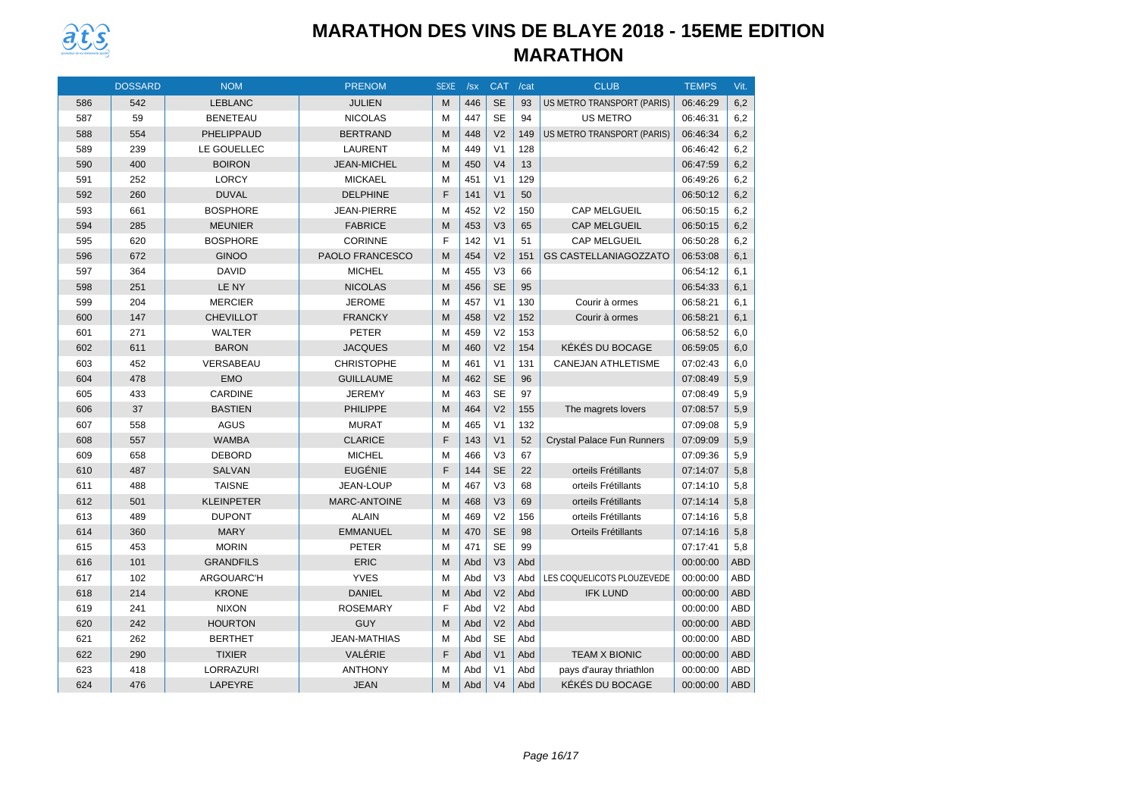

|     | <b>DOSSARD</b> | <b>NOM</b>        | <b>PRENOM</b>       | <b>SEXE</b> | /sx | <b>CAT</b>     | /cat | <b>CLUB</b>                       | <b>TEMPS</b> | Vit.       |
|-----|----------------|-------------------|---------------------|-------------|-----|----------------|------|-----------------------------------|--------------|------------|
| 586 | 542            | <b>LEBLANC</b>    | <b>JULIEN</b>       | M           | 446 | <b>SE</b>      | 93   | <b>US METRO TRANSPORT (PARIS)</b> | 06:46:29     | 6,2        |
| 587 | 59             | <b>BENETEAU</b>   | <b>NICOLAS</b>      | M           | 447 | <b>SE</b>      | 94   | <b>US METRO</b>                   | 06:46:31     | 6,2        |
| 588 | 554            | PHELIPPAUD        | <b>BERTRAND</b>     | M           | 448 | V <sub>2</sub> | 149  | <b>US METRO TRANSPORT (PARIS)</b> | 06:46:34     | 6,2        |
| 589 | 239            | LE GOUELLEC       | <b>LAURENT</b>      | M           | 449 | V <sub>1</sub> | 128  |                                   | 06:46:42     | 6,2        |
| 590 | 400            | <b>BOIRON</b>     | <b>JEAN-MICHEL</b>  | M           | 450 | V <sub>4</sub> | 13   |                                   | 06:47:59     | 6,2        |
| 591 | 252            | <b>LORCY</b>      | <b>MICKAEL</b>      | M           | 451 | V <sub>1</sub> | 129  |                                   | 06:49:26     | 6,2        |
| 592 | 260            | <b>DUVAL</b>      | <b>DELPHINE</b>     | F           | 141 | V <sub>1</sub> | 50   |                                   | 06:50:12     | 6,2        |
| 593 | 661            | <b>BOSPHORE</b>   | <b>JEAN-PIERRE</b>  | M           | 452 | V <sub>2</sub> | 150  | CAP MELGUEIL                      | 06:50:15     | 6,2        |
| 594 | 285            | <b>MEUNIER</b>    | <b>FABRICE</b>      | M           | 453 | V <sub>3</sub> | 65   | <b>CAP MELGUEIL</b>               | 06:50:15     | 6,2        |
| 595 | 620            | <b>BOSPHORE</b>   | <b>CORINNE</b>      | F           | 142 | V <sub>1</sub> | 51   | <b>CAP MELGUEIL</b>               | 06:50:28     | 6,2        |
| 596 | 672            | <b>GINOO</b>      | PAOLO FRANCESCO     | M           | 454 | V <sub>2</sub> | 151  | <b>GS CASTELLANIAGOZZATO</b>      | 06:53:08     | 6,1        |
| 597 | 364            | <b>DAVID</b>      | <b>MICHEL</b>       | M           | 455 | V <sub>3</sub> | 66   |                                   | 06:54:12     | 6,1        |
| 598 | 251            | LE NY             | <b>NICOLAS</b>      | M           | 456 | <b>SE</b>      | 95   |                                   | 06:54:33     | 6,1        |
| 599 | 204            | <b>MERCIER</b>    | <b>JEROME</b>       | M           | 457 | V <sub>1</sub> | 130  | Courir à ormes                    | 06:58:21     | 6.1        |
| 600 | 147            | <b>CHEVILLOT</b>  | <b>FRANCKY</b>      | M           | 458 | V <sub>2</sub> | 152  | Courir à ormes                    | 06:58:21     | 6,1        |
| 601 | 271            | <b>WALTER</b>     | <b>PETER</b>        | M           | 459 | V <sub>2</sub> | 153  |                                   | 06:58:52     | 6,0        |
| 602 | 611            | <b>BARON</b>      | <b>JACQUES</b>      | M           | 460 | V <sub>2</sub> | 154  | KÉKÉS DU BOCAGE                   | 06:59:05     | 6,0        |
| 603 | 452            | VERSABEAU         | <b>CHRISTOPHE</b>   | M           | 461 | V <sub>1</sub> | 131  | <b>CANEJAN ATHLETISME</b>         | 07:02:43     | 6,0        |
| 604 | 478            | <b>EMO</b>        | <b>GUILLAUME</b>    | M           | 462 | <b>SE</b>      | 96   |                                   | 07:08:49     | 5,9        |
| 605 | 433            | CARDINE           | <b>JEREMY</b>       | M           | 463 | <b>SE</b>      | 97   |                                   | 07:08:49     | 5,9        |
| 606 | 37             | <b>BASTIEN</b>    | <b>PHILIPPE</b>     | M           | 464 | V <sub>2</sub> | 155  | The magrets lovers                | 07:08:57     | 5,9        |
| 607 | 558            | <b>AGUS</b>       | <b>MURAT</b>        | M           | 465 | V <sub>1</sub> | 132  |                                   | 07:09:08     | 5,9        |
| 608 | 557            | <b>WAMBA</b>      | <b>CLARICE</b>      | F           | 143 | V <sub>1</sub> | 52   | Crystal Palace Fun Runners        | 07:09:09     | 5,9        |
| 609 | 658            | <b>DEBORD</b>     | <b>MICHEL</b>       | M           | 466 | V <sub>3</sub> | 67   |                                   | 07:09:36     | 5,9        |
| 610 | 487            | <b>SALVAN</b>     | <b>EUGÉNIE</b>      | F           | 144 | <b>SE</b>      | 22   | orteils Frétillants               | 07:14:07     | 5,8        |
| 611 | 488            | <b>TAISNE</b>     | <b>JEAN-LOUP</b>    | M           | 467 | V <sub>3</sub> | 68   | orteils Frétillants               | 07:14:10     | 5,8        |
| 612 | 501            | <b>KLEINPETER</b> | MARC-ANTOINE        | M           | 468 | V <sub>3</sub> | 69   | orteils Frétillants               | 07:14:14     | 5,8        |
| 613 | 489            | <b>DUPONT</b>     | <b>ALAIN</b>        | M           | 469 | V <sub>2</sub> | 156  | orteils Frétillants               | 07:14:16     | 5,8        |
| 614 | 360            | <b>MARY</b>       | <b>EMMANUEL</b>     | M           | 470 | <b>SE</b>      | 98   | <b>Orteils Frétillants</b>        | 07:14:16     | 5,8        |
| 615 | 453            | <b>MORIN</b>      | <b>PETER</b>        | M           | 471 | <b>SE</b>      | 99   |                                   | 07:17:41     | 5,8        |
| 616 | 101            | <b>GRANDFILS</b>  | <b>ERIC</b>         | M           | Abd | V <sub>3</sub> | Abd  |                                   | 00:00:00     | <b>ABD</b> |
| 617 | 102            | ARGOUARC'H        | <b>YVES</b>         | M           | Abd | V <sub>3</sub> | Abd  | LES COQUELICOTS PLOUZEVEDE        | 00:00:00     | ABD        |
| 618 | 214            | <b>KRONE</b>      | <b>DANIEL</b>       | M           | Abd | V <sub>2</sub> | Abd  | <b>IFK LUND</b>                   | 00:00:00     | <b>ABD</b> |
| 619 | 241            | <b>NIXON</b>      | <b>ROSEMARY</b>     | F           | Abd | V <sub>2</sub> | Abd  |                                   | 00:00:00     | <b>ABD</b> |
| 620 | 242            | <b>HOURTON</b>    | <b>GUY</b>          | M           | Abd | V <sub>2</sub> | Abd  |                                   | 00:00:00     | <b>ABD</b> |
| 621 | 262            | <b>BERTHET</b>    | <b>JEAN-MATHIAS</b> | м           | Abd | <b>SE</b>      | Abd  |                                   | 00:00:00     | ABD        |
| 622 | 290            | <b>TIXIER</b>     | VALÉRIE             | F           | Abd | V <sub>1</sub> | Abd  | <b>TEAM X BIONIC</b>              | 00:00:00     | ABD        |
| 623 | 418            | LORRAZURI         | <b>ANTHONY</b>      | M           | Abd | V <sub>1</sub> | Abd  | pays d'auray thriathlon           | 00:00:00     | ABD        |
| 624 | 476            | <b>LAPEYRE</b>    | <b>JEAN</b>         | M           | Abd | V <sub>4</sub> | Abd  | KÉKÉS DU BOCAGE                   | 00:00:00     | <b>ABD</b> |